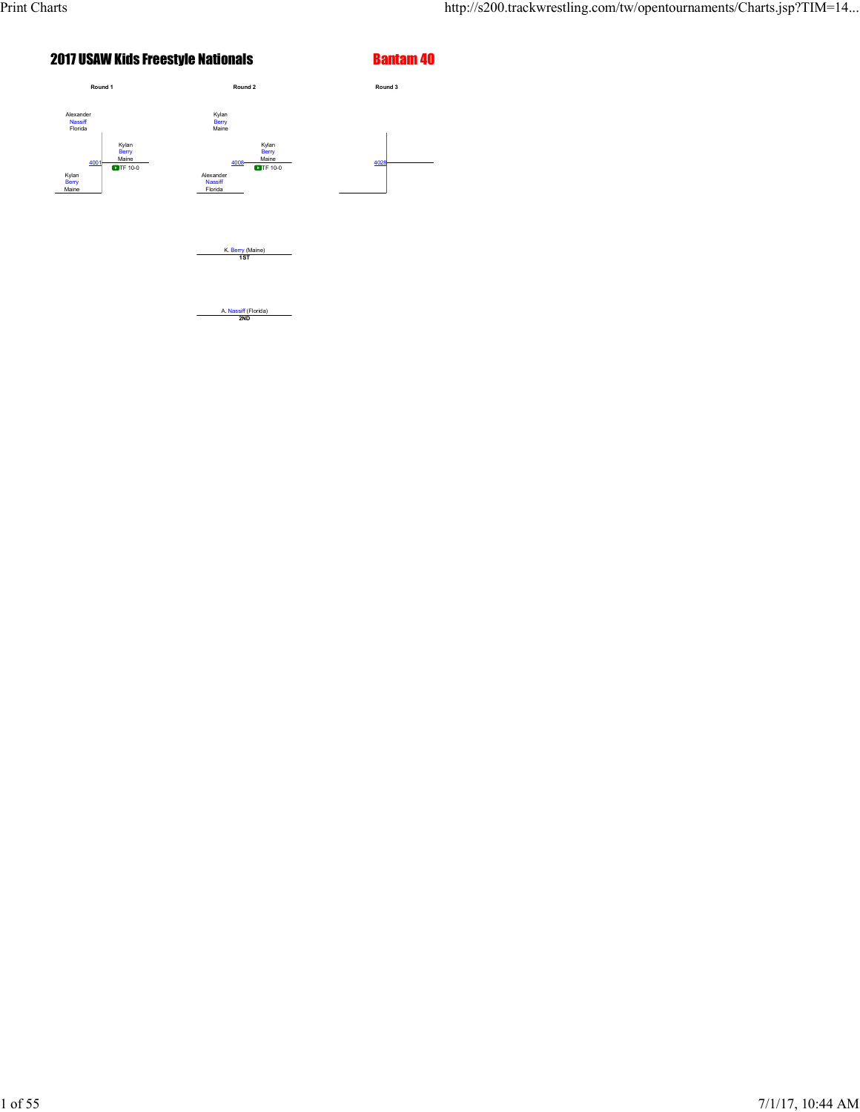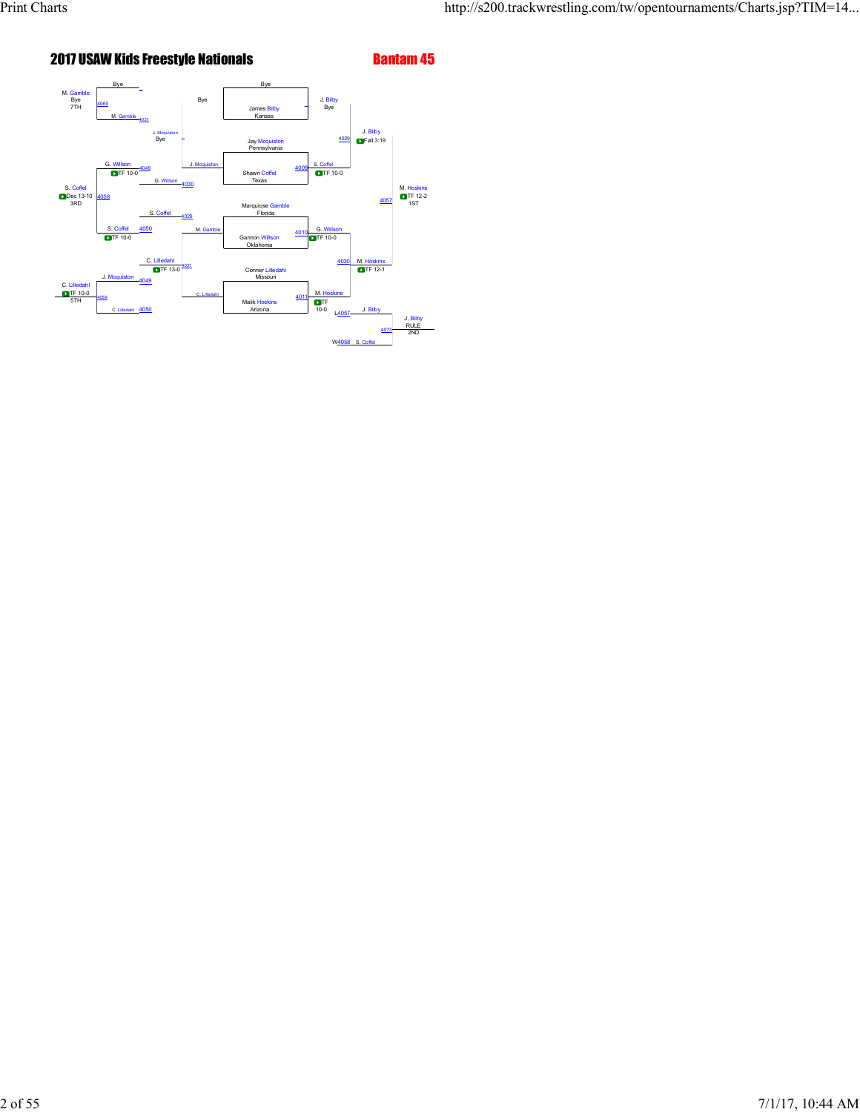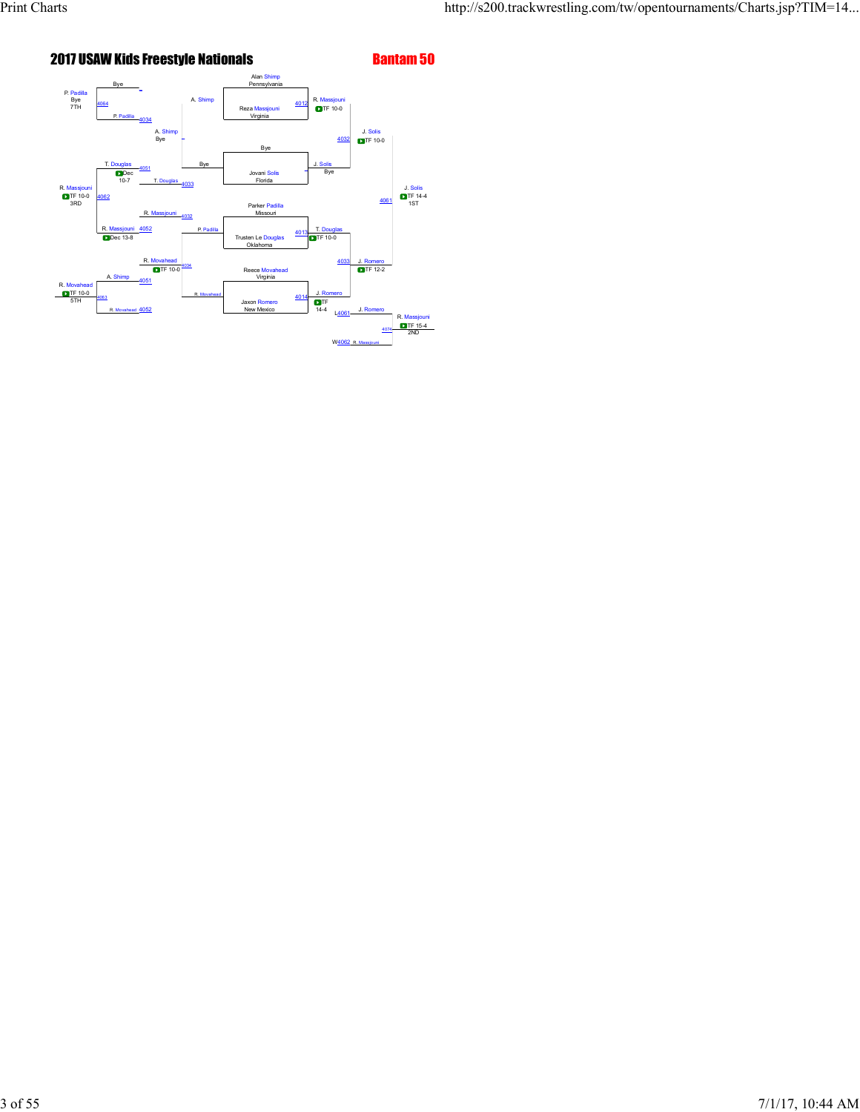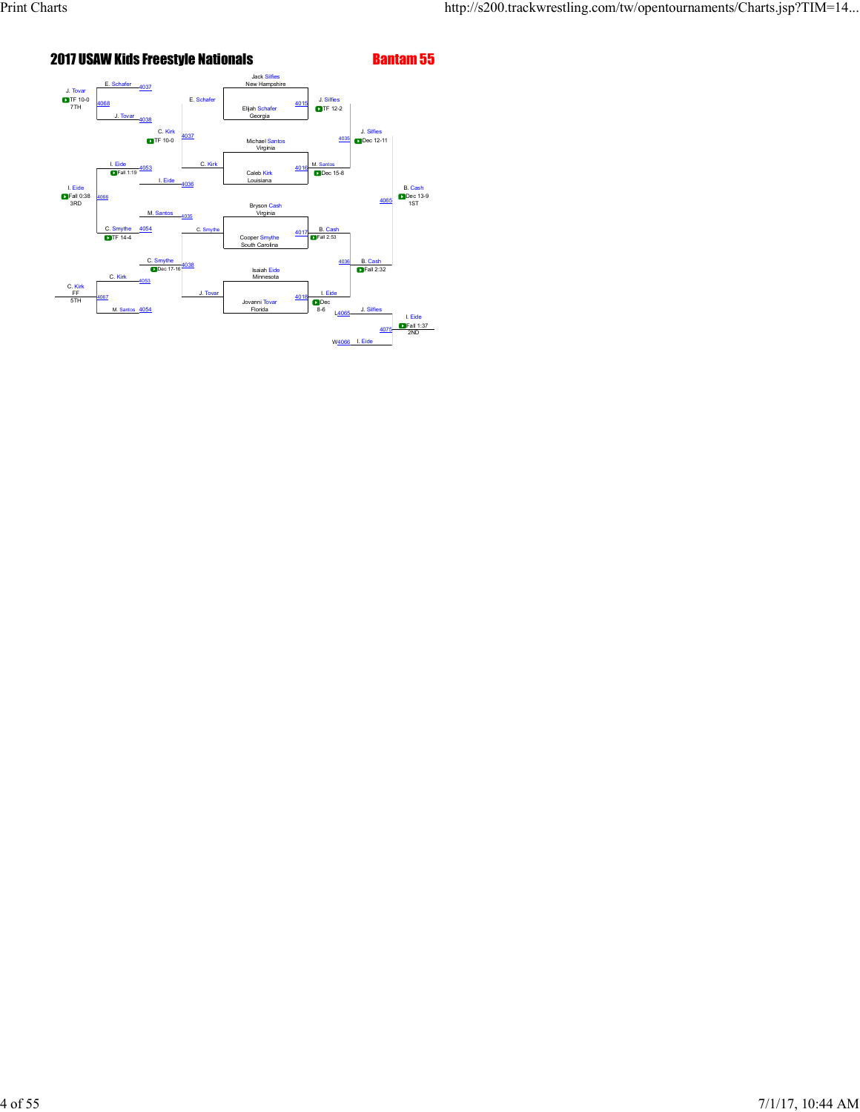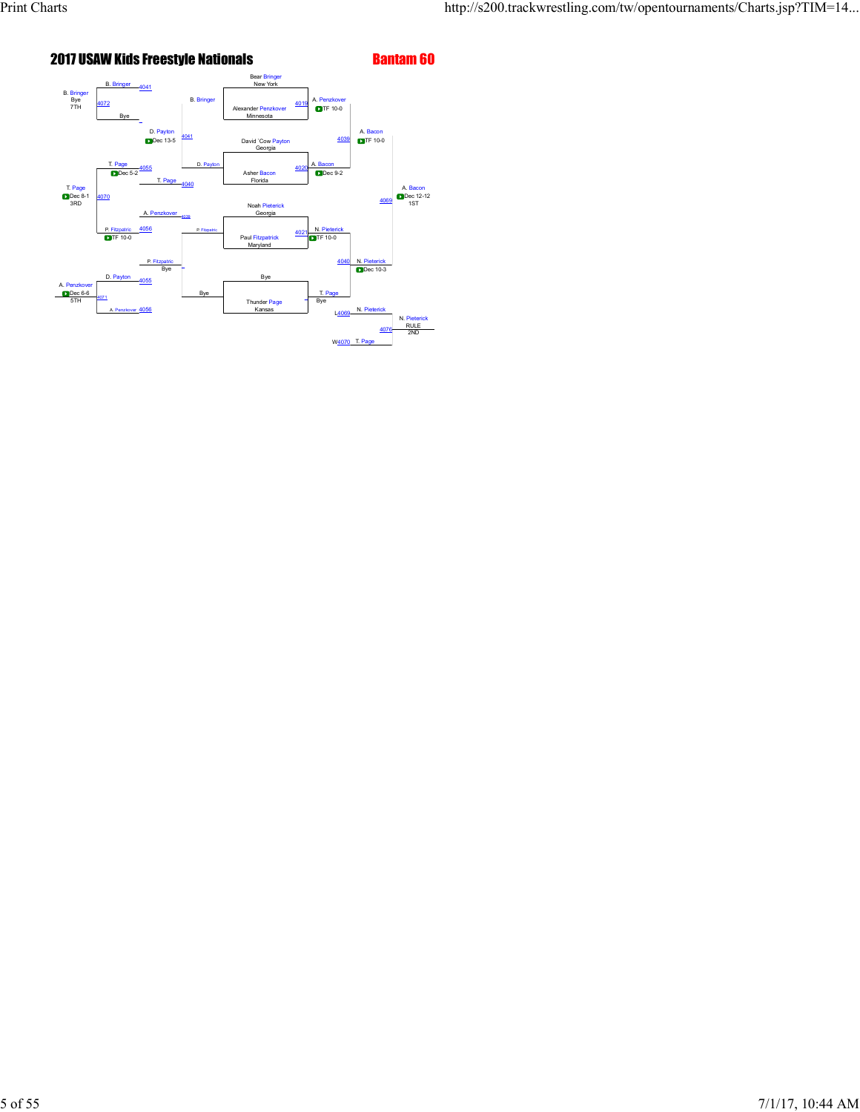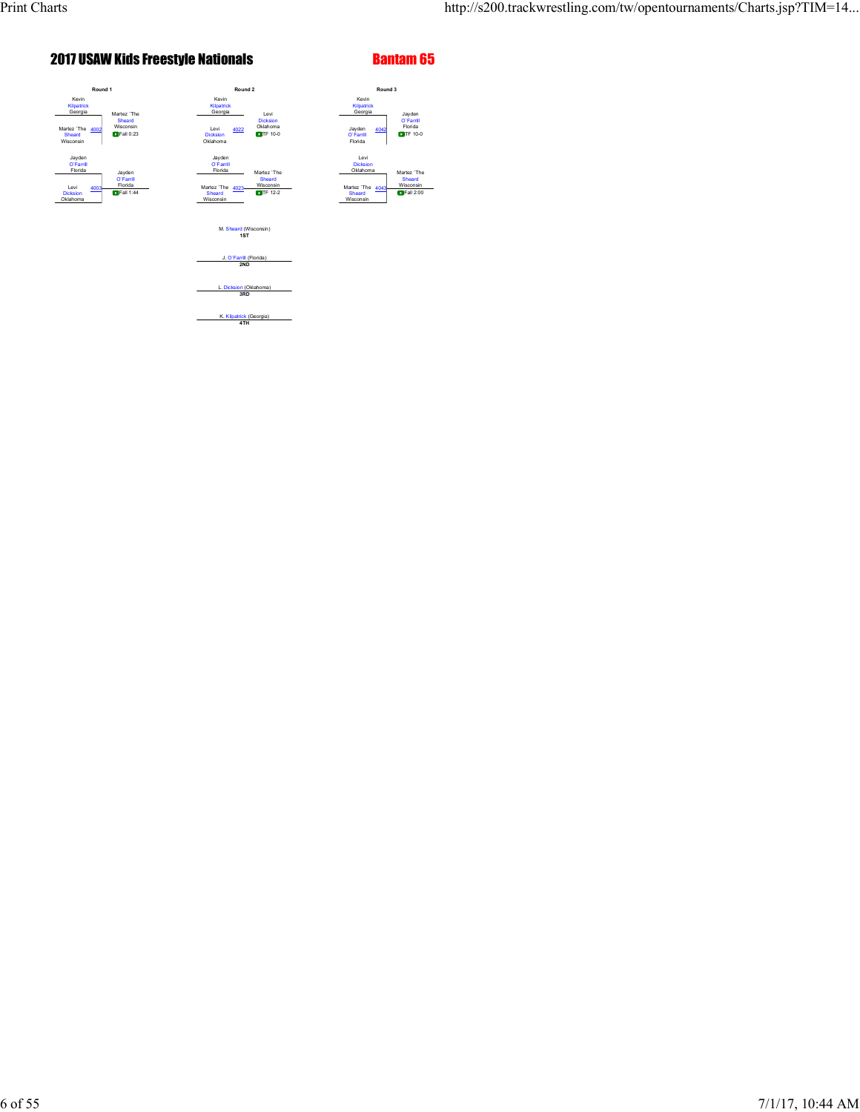

K. Kilpatrick (Georgia) **4TH**

Kevin Kilpatrick Georgia Jayden O`Farrill

O`Farrill Florida 4042

Sheard

Levi Dicksion

Oklahoma Martez `The Sheard

4043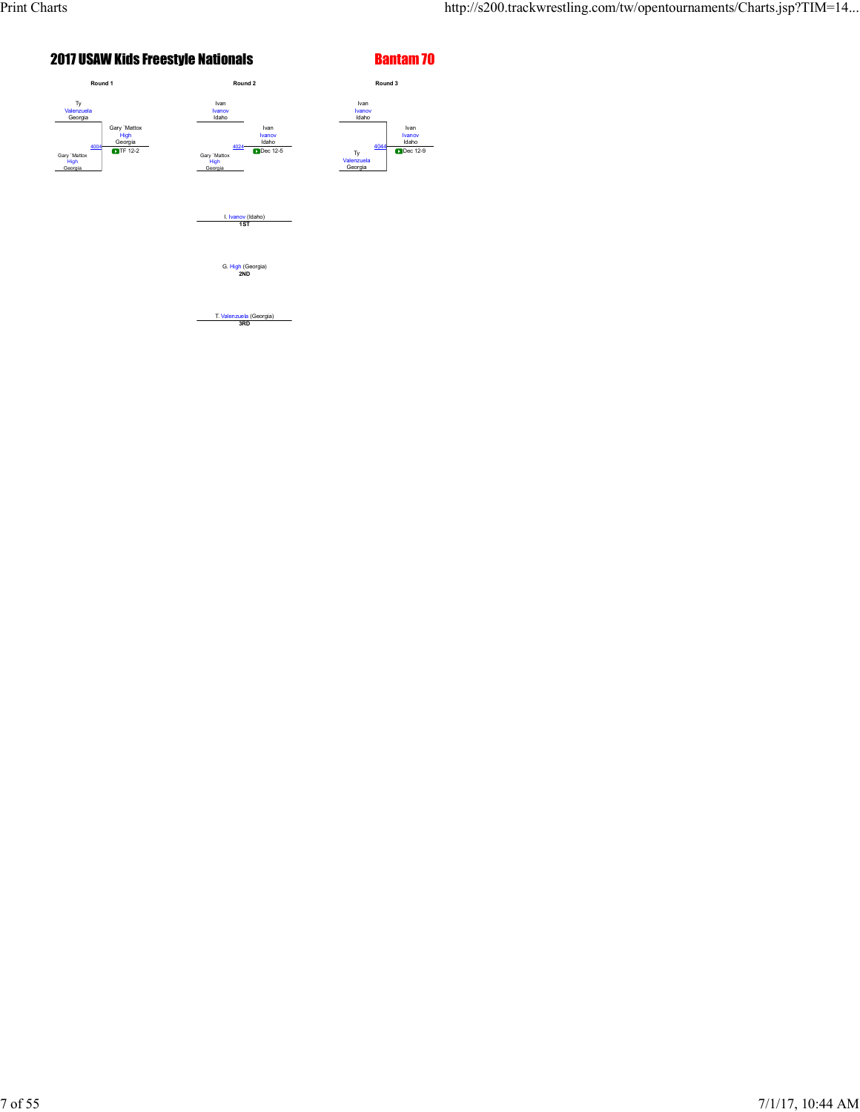

Ivan Ivanov Idaho

T. Valenzuela (Georgia) **3RD**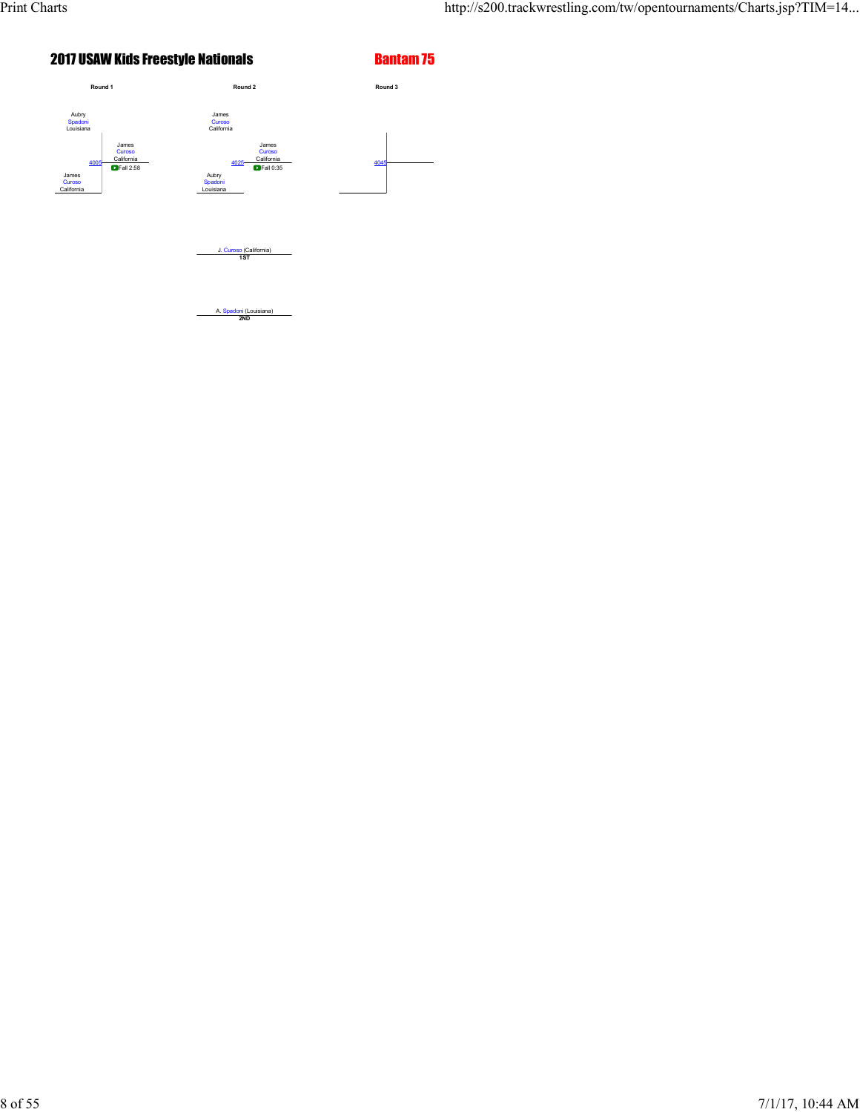

A. Spadoni (Louisiana) **2ND**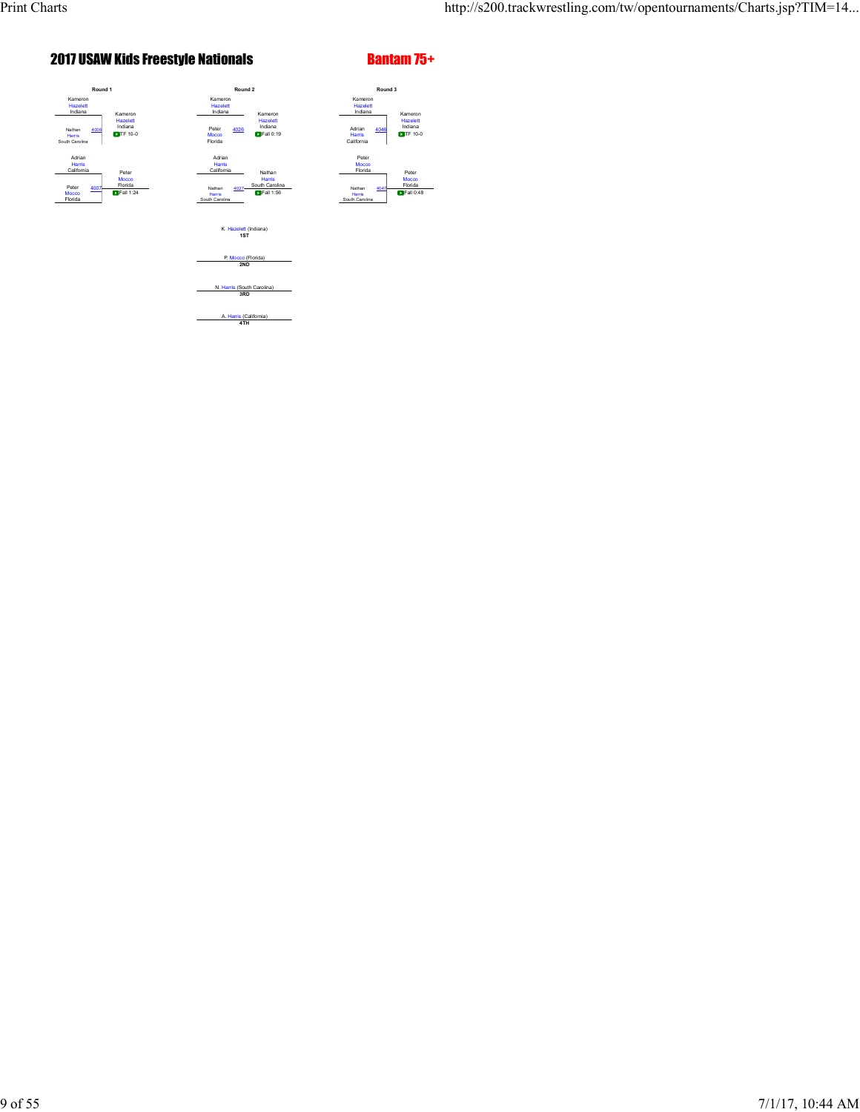

A. Harris (California) **4TH**

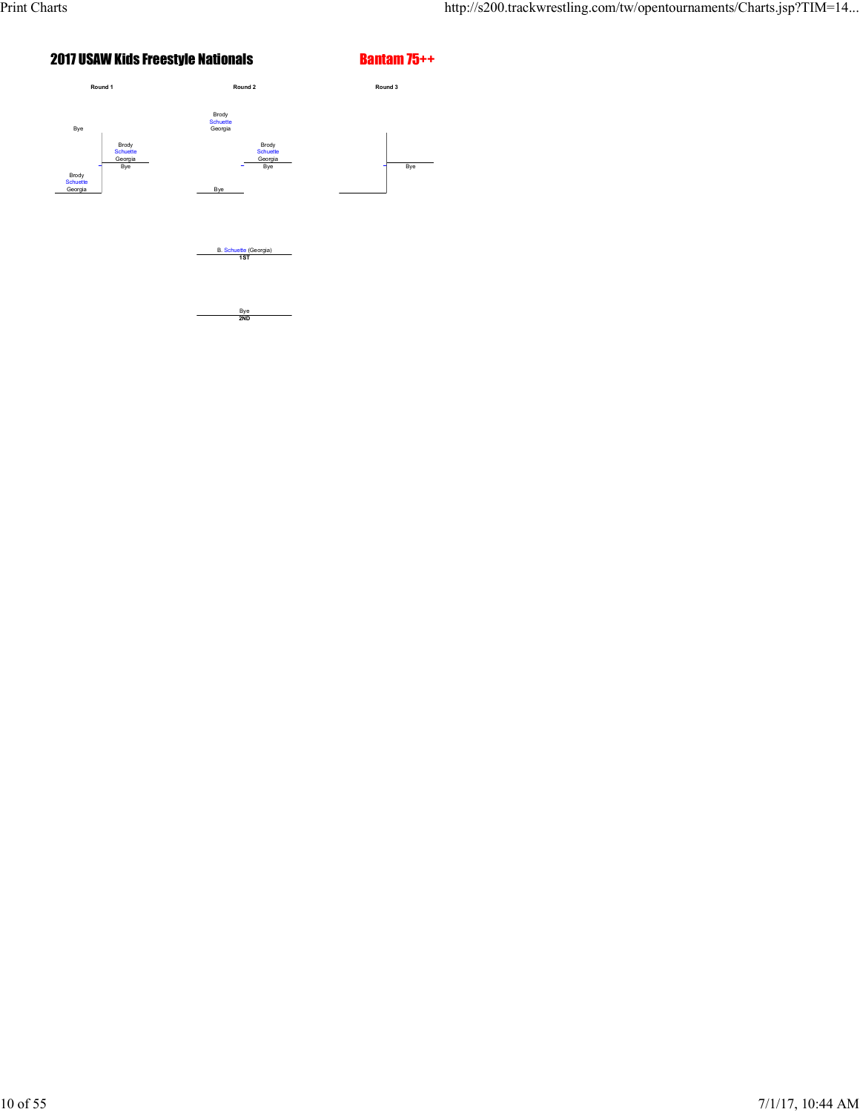

Bye **2ND**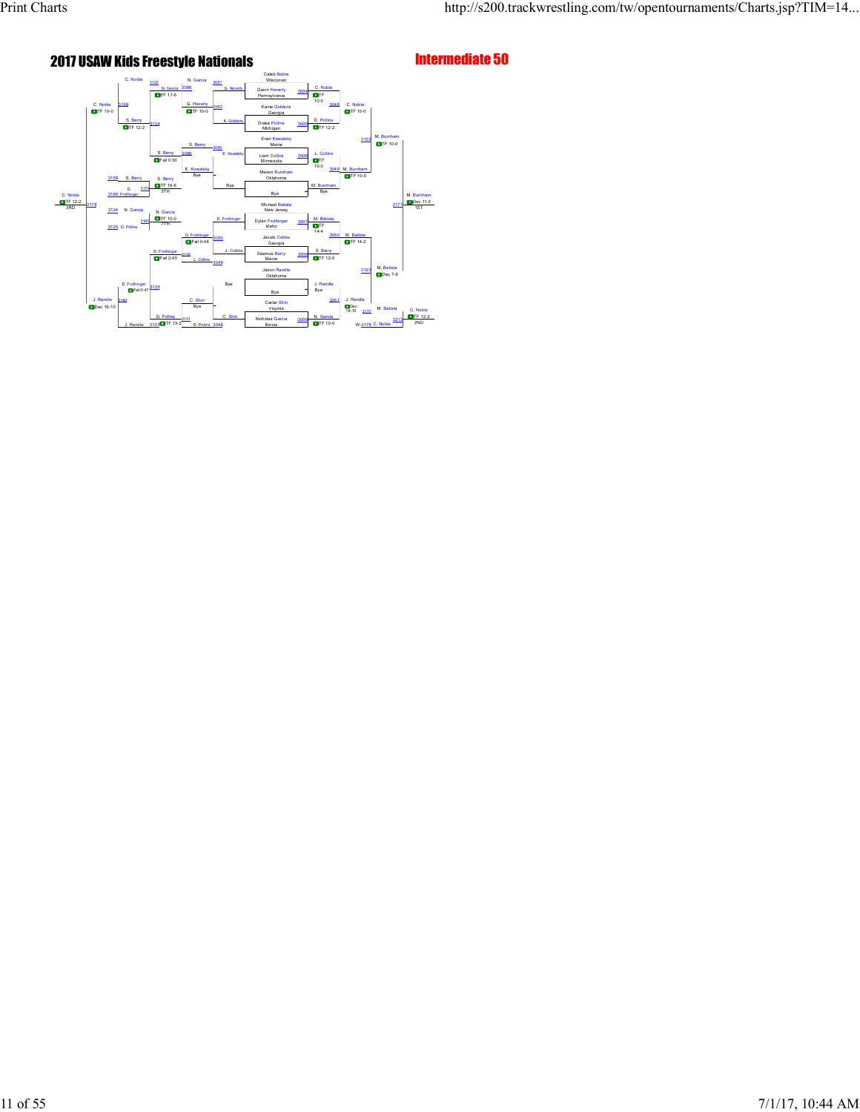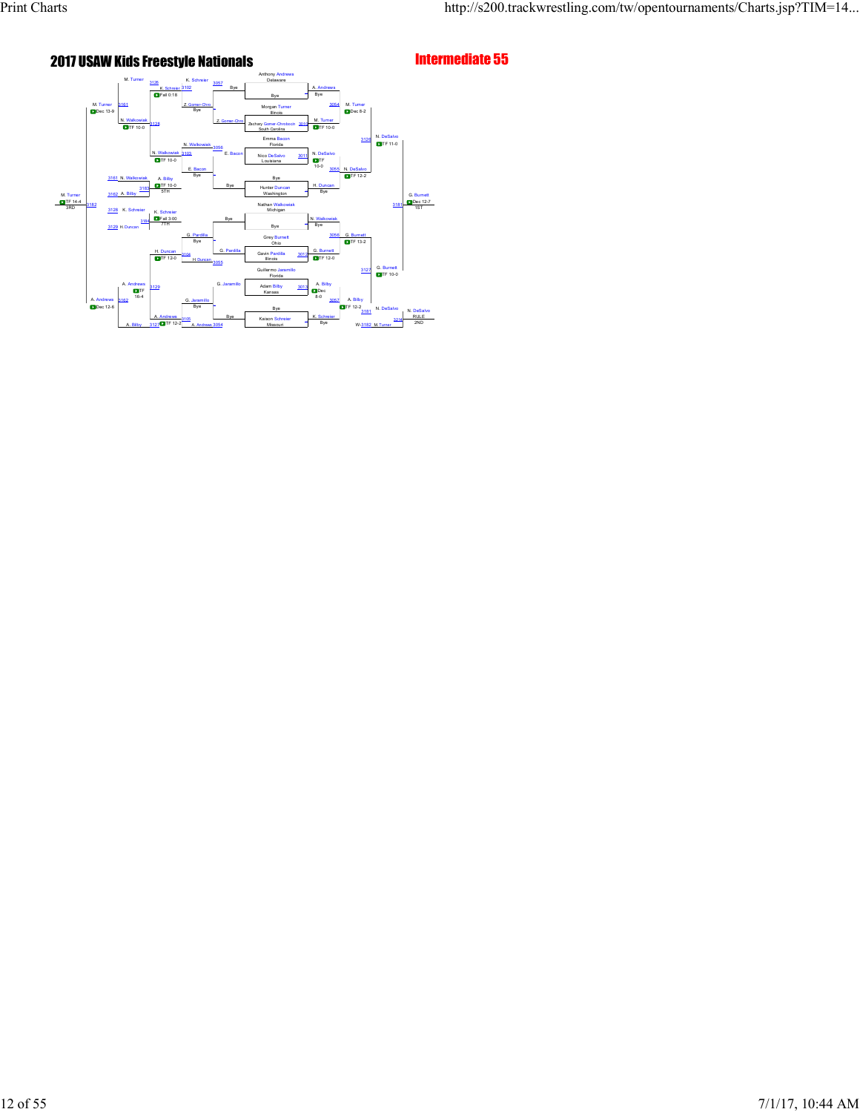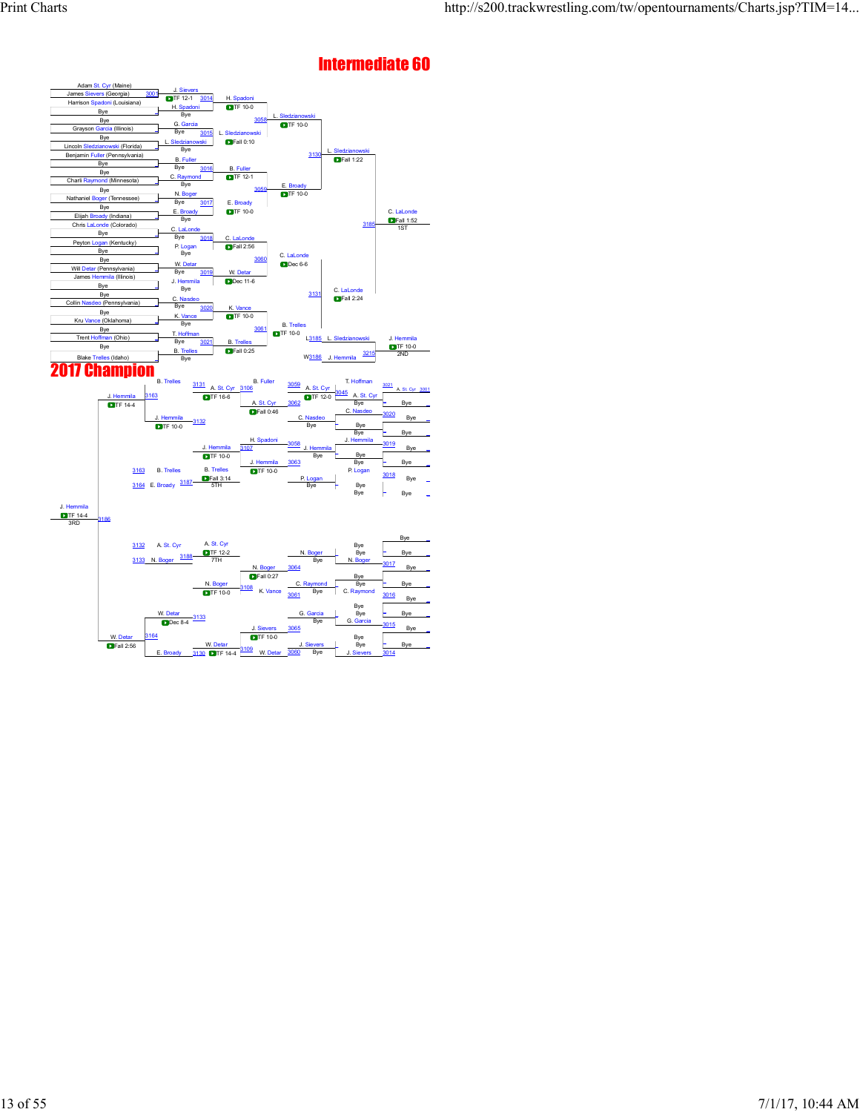## Intermediate 60

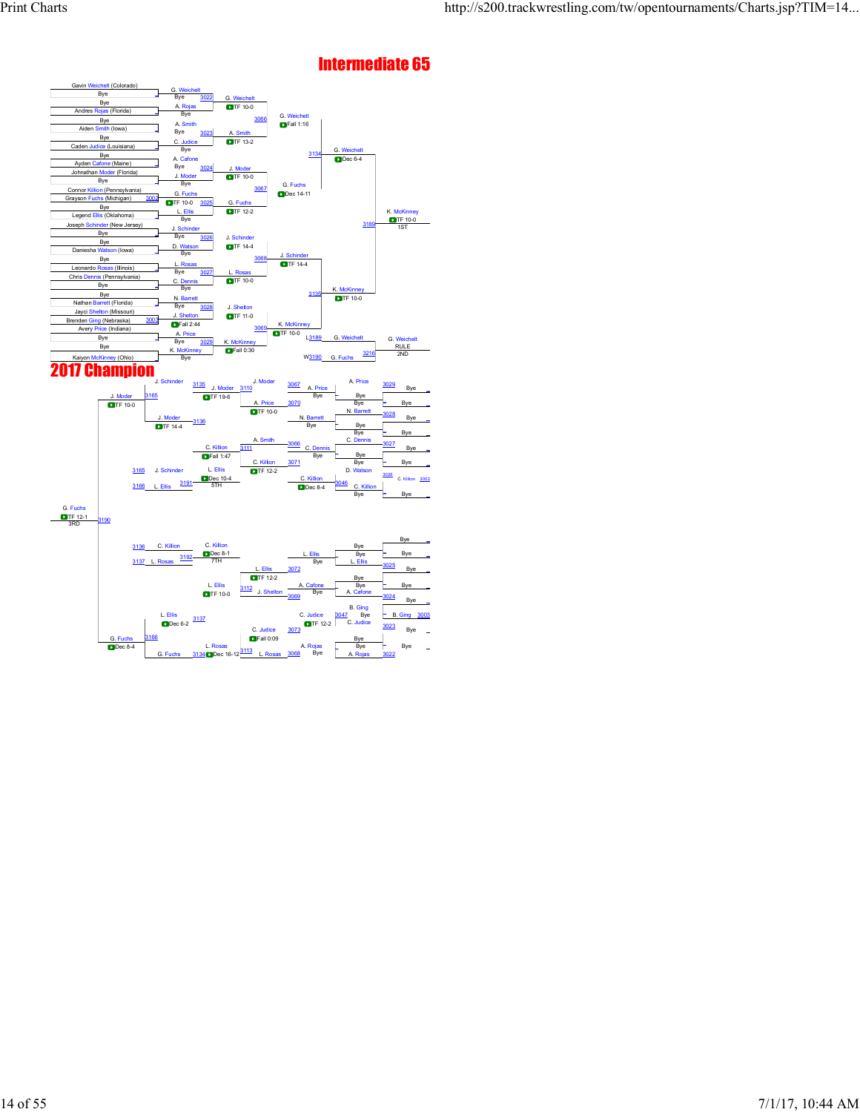### helt (Colo  $\Gamma$ G. Weichelt Bye \_ Bye 302 <del>G. Weichelt</del><br>Bye A. Rojas 19TF 10-0<br>A. Rojas 19TF 10-0 A. Ro Andres Rojas (Florida) \_\_\_\_\_ G. Weichelt A. Smith Fall 1:16 Aiden Smith (Iowa) \_ Bye 3066 Bye 3023 A. Smith Bye C. Judice **TE** TF 13-2  $\sqrt{ }$ Caden Judice (Louisiana) Bye **3134** G. Weichelt<br> **Dec** 6-4 Dec 6-4 Ayden Cafone (Maine) \_ Bye<br>**Fone (Maine)** A. Cafone<br>Discovery and the Sye of the Subset of Subset of Subset of Subset of Subset of Subset of Subset of Subset of S J. Mode<br>Bye<br>G. Fuch J. Moder<br>**CHITE** 10-0 bhnathan Moder (Florida) Bye \_ Bye <sub>3067</sub> G. Fuchs<br>G. Fuchs 3067 Dec 14-11 Connor <mark>Killion (Pennsylvania)</mark><br>Sravson <mark>Fuchs (Michigan) 3002</mark> Grayson Fuchs (Michigan) **D**TF 10-0 3025 G. Fuchs<br>L. Ellis **D**TF 12-2 Bye L. Ellis ■ DTF 12-2<br>
Bye<br>
Schinder 10-0<br>
Schinder Legend Elis (Oklahoma) Bye 31 Joseph Schinder (New Jersey) J. Schinder Bye \_\_\_\_\_\_\_\_\_\_\_\_\_\_\_ Bye 302 <u>J. Schinder</u><br>Bye Bye 3026 J. Schinder<br>With the D. Watson D. TF 14-4 Daniesha Watson (Iowa) \_ Bye J. Schinder Experiment Bye<br>
<u>Leonardo Rosas (Illinois) de Bye 3027</u> L. Rosas **Bye** 3068 Bye 3027<br>C. Dennis Chris Dennis (Pennsylvania) CTF 10-0 **Bye** Bye **2135** K. McKinney<br>**DITF** 10-0 Bye (Florid N. <mark>Barrett</mark><br>Bye 3028 Jayci Shelton (Missouri) Bye 3028 J. Shelton<br>J. Shelton (Missouri) J. Shelton DTF 11-0 J. Shelton<br>
Fall 2:44 Ging (Nebraska) K. Mck A. Price 3029 K. McKinney **DITE 10-0**<br>Bye 3029 K. McKinney A. Price  $G.$ Bye \_ L3189 Bye <sup>3029</sup> K. McKinney G. Weichelt RULE Bye Kaiyon McKinney (Ohio) \_ **K. McKinney Call 0:30**<br>
Bye W3190 G. Fuchs 3216 **2ND**<br>Bye W<u>3190</u> G. Fuchs 3216 2ND W3190 G. Fu 2017 Champion J. Schinder 3135 J. Mode<br>5 **DT**F 19-6 A. Price J. Moder 310 **3067 A. Price A. Price 3110**<br>TF 19-6 Bye **Bye** \_ J. Moder<br>**DI**TF 10-0 3165 Bye \_ TF 10-0 **Bye — Bye — Bye — Bye — Bye — Bye** — Bye — Bye — Bye — Bye — Bye — Bye — Bye — A A. <mark>Price \_\_\_\_3070</mark><br>2**TF** 10-0 Bye N. Barrett 3028 Bye \_ J. Moder 3136<br>TTF 14-4 3136 Bye Bye Bye net in the set of the set of the set of the set of the set of the set of the set of the set of the set of the<br>Bye Bye \_ Bye \_ A. Smith C. Dennis <sup>3027</sup> Bye \_ 3066 C. Dennis 3111 C. Fall 1:47 \_ Bye<br>Bye Fall 1:47 **Bye <del>F</del>** Bye<br>
C. Killion 3071 Bye<br>
L. Ellis ● DTF 12-2 D. Wats Bye \_ Bye \_ L. Ellis D. Wa 3165 J. Schi **D**<br>Dec 10-4<br>5TH 3026 **3166 L. Ellis 3191 300ec 10-4** C. Killion C. Killion 3046 C. Killion C. Killion C. Killion C. Killion C. Killion C. \_ Bye Bye \_ G. Fuchs<br>2 TF 12-1 3190<br>3RD Bye \_ 3136 C. Killion C. Killion Bye Dec 8-1 7TH L. Ellis  $\overline{\phantom{a}}$  Bye 3137 L. Rosas 3192 Dec 8-1 L. Ellis Bye L. Ellis Bye L. Ellis B<sub>v</sub> Bye <u>L. Ellis 3025</u> Bye \_ 3072 L. Ellis  $TF$  12-2 L. Ellis<br>DTF 10-0 A. Cafone Let Bye 12 J. Sh \_ Bye Bye \_ TF 10-0 <del>10:12 J. Shelton <sub>3069</sub> B</del>ye <u>A. Cafone 3024</u> Bye \_ B. Ging  $B<sub>0</sub>$  $Bye$   $\frac{e}{2}$ L. Ellis<br>DDec 6-2 <sup>3137</sup> <sup>3047</sup> Bye **THE 12-2** C. Judice 3023 3073 C. Judice Fall 0:09 Bye 3166 A. Rojas \_ \_ Bye  $Dec 8-4$ L. Rosas Dec 8-4 Bye \_ G. Fuchs <sup>3113</sup> L. Rosas 3134 Dec 16-12 3068 Bye A. Rojas 3022

## Intermediate 65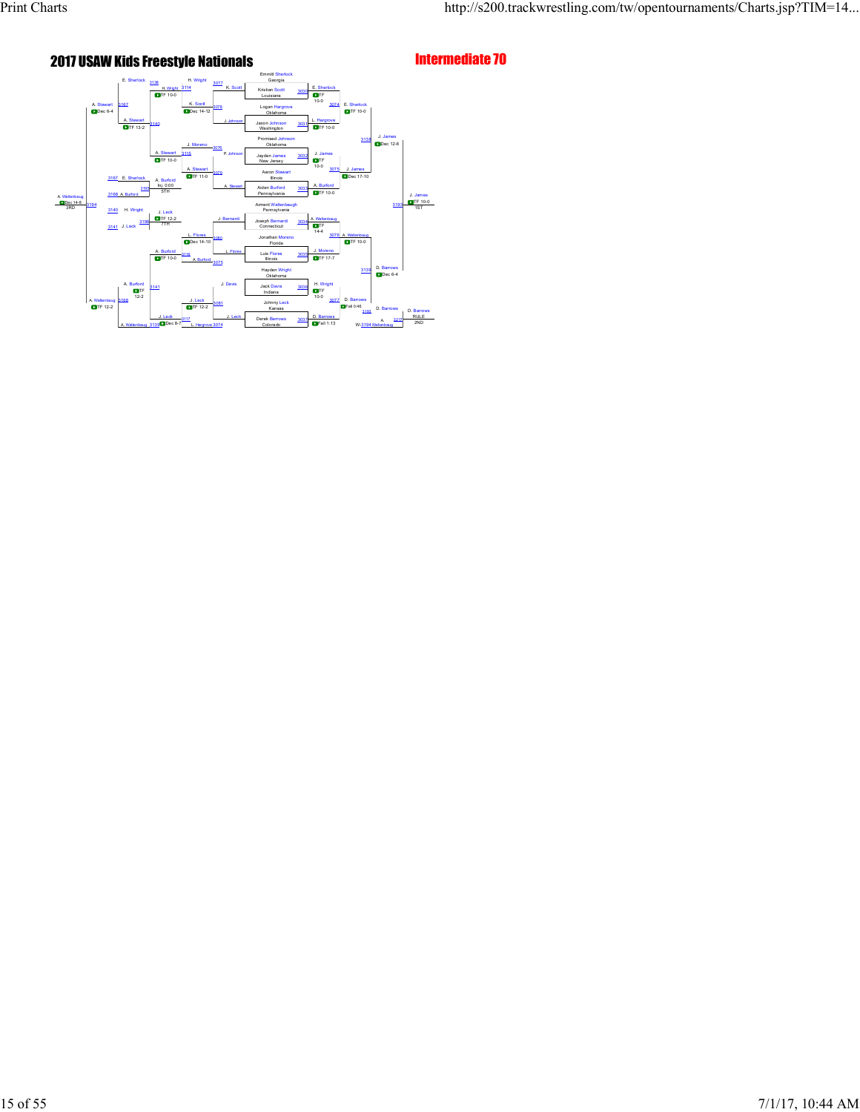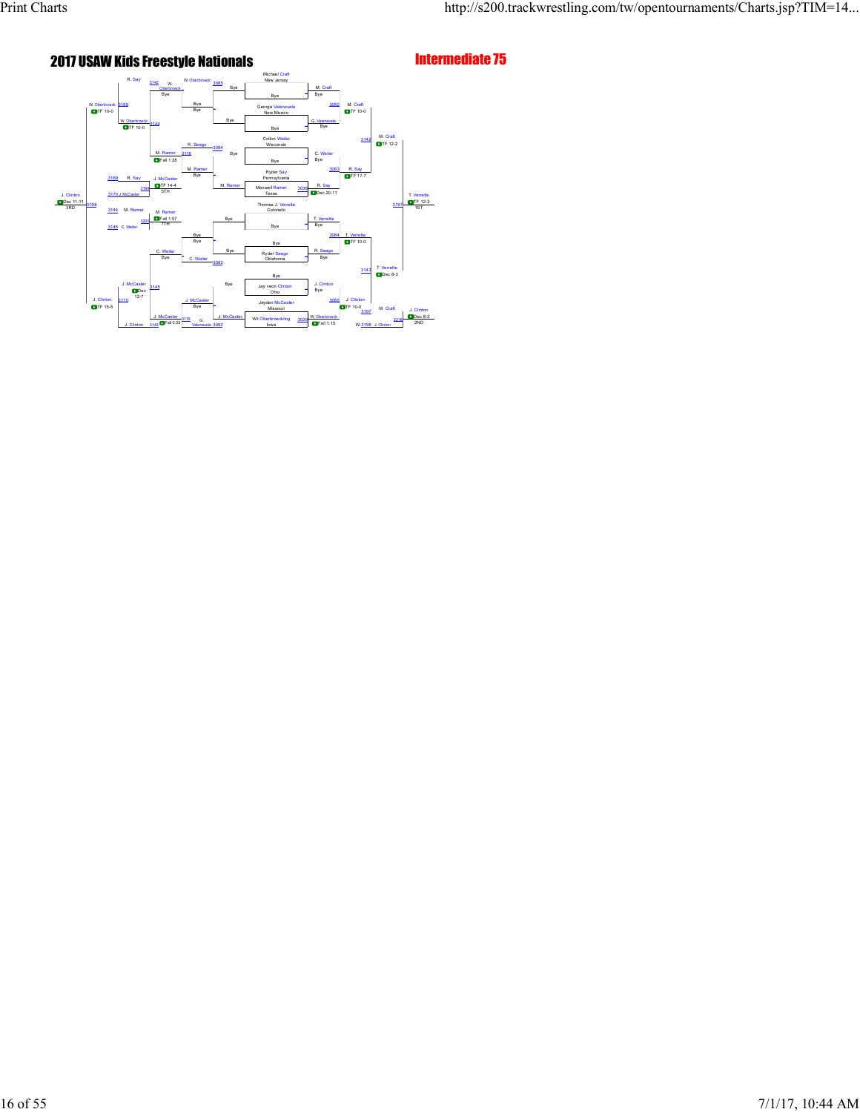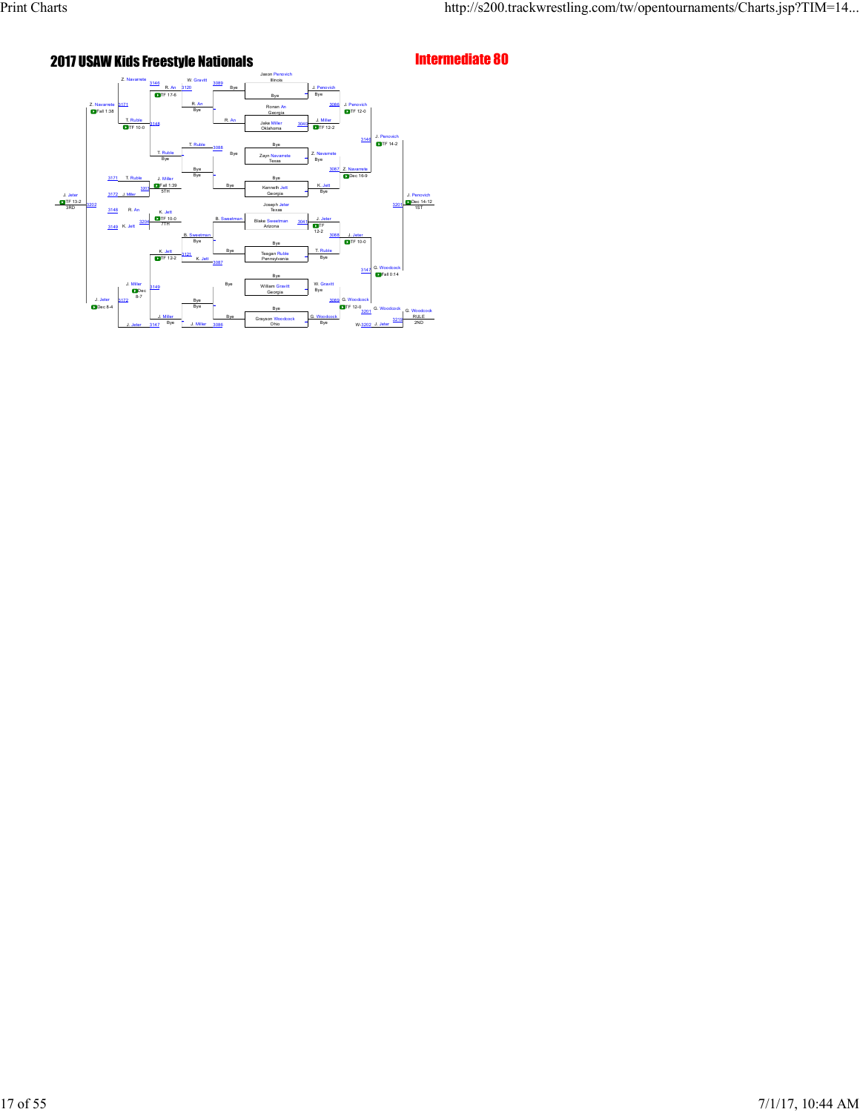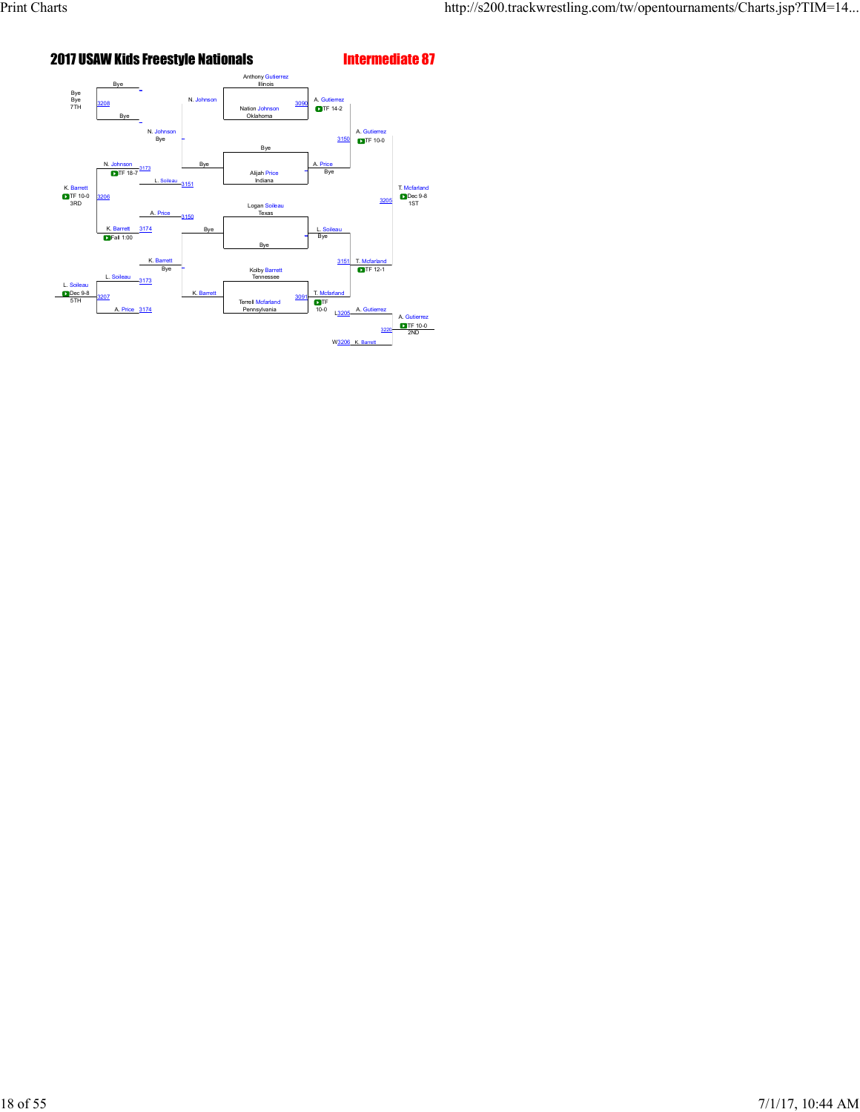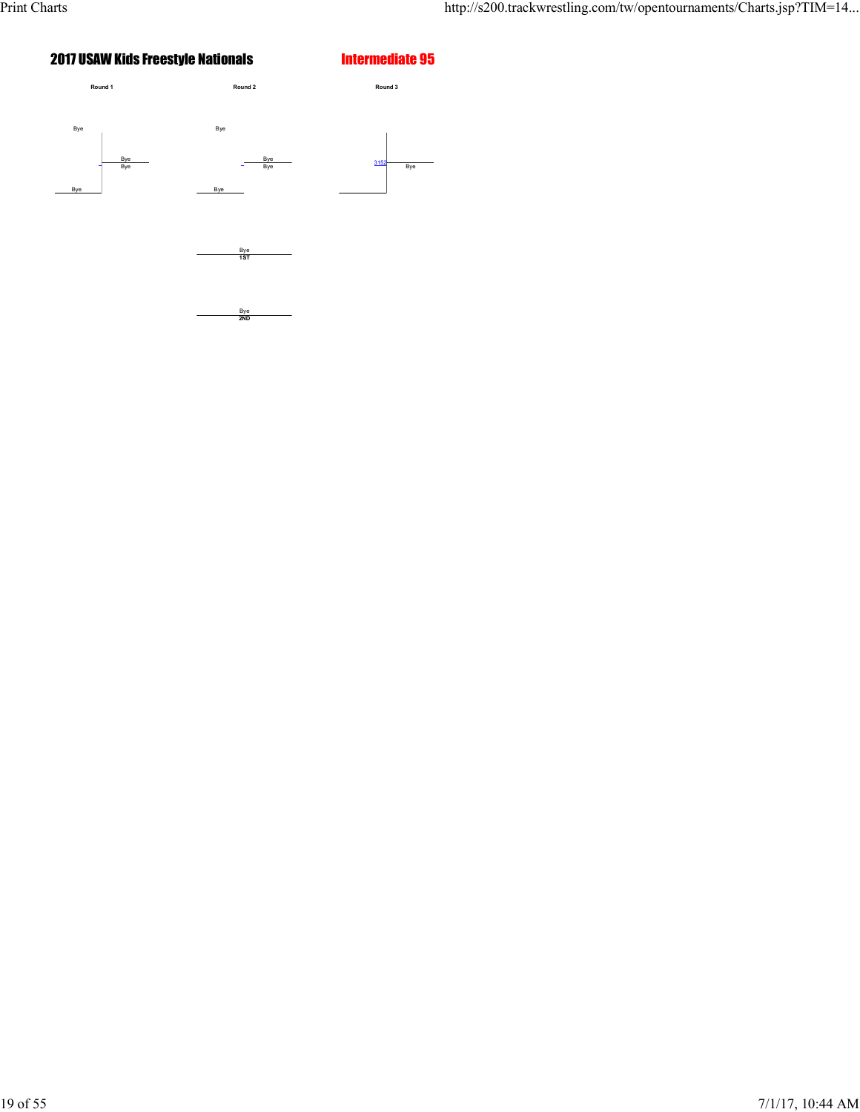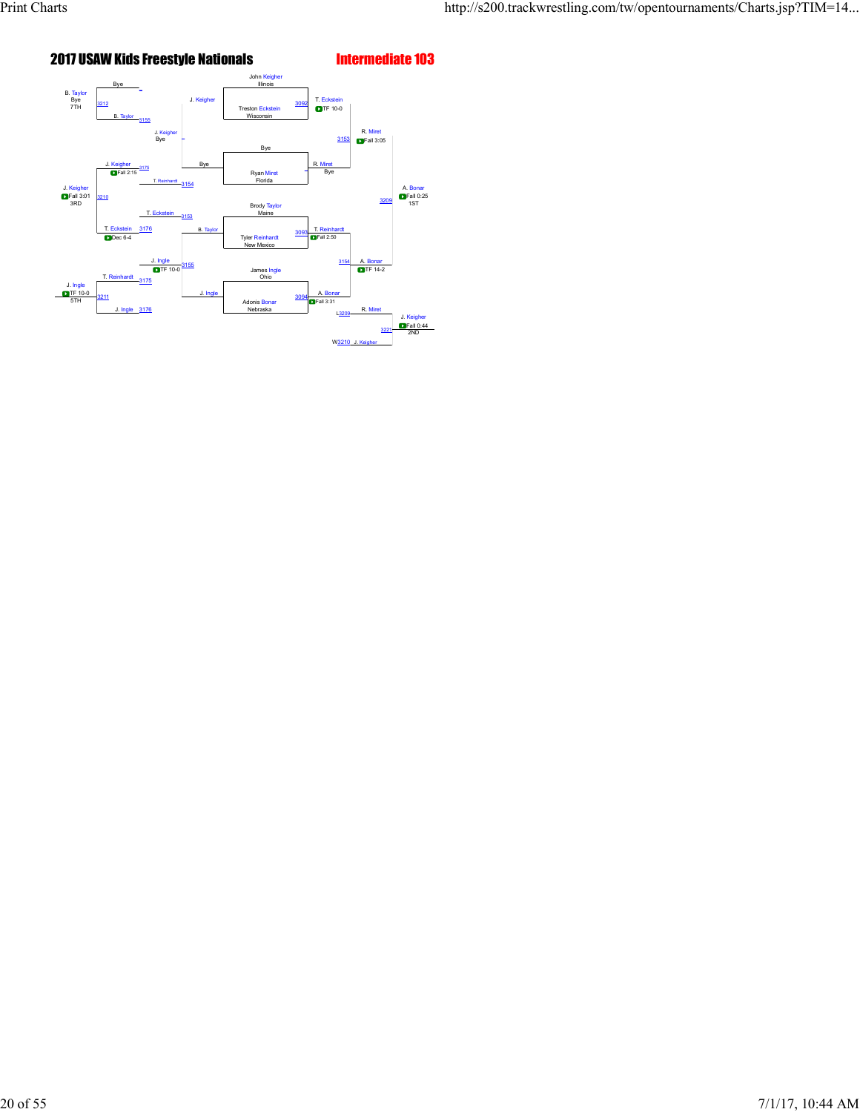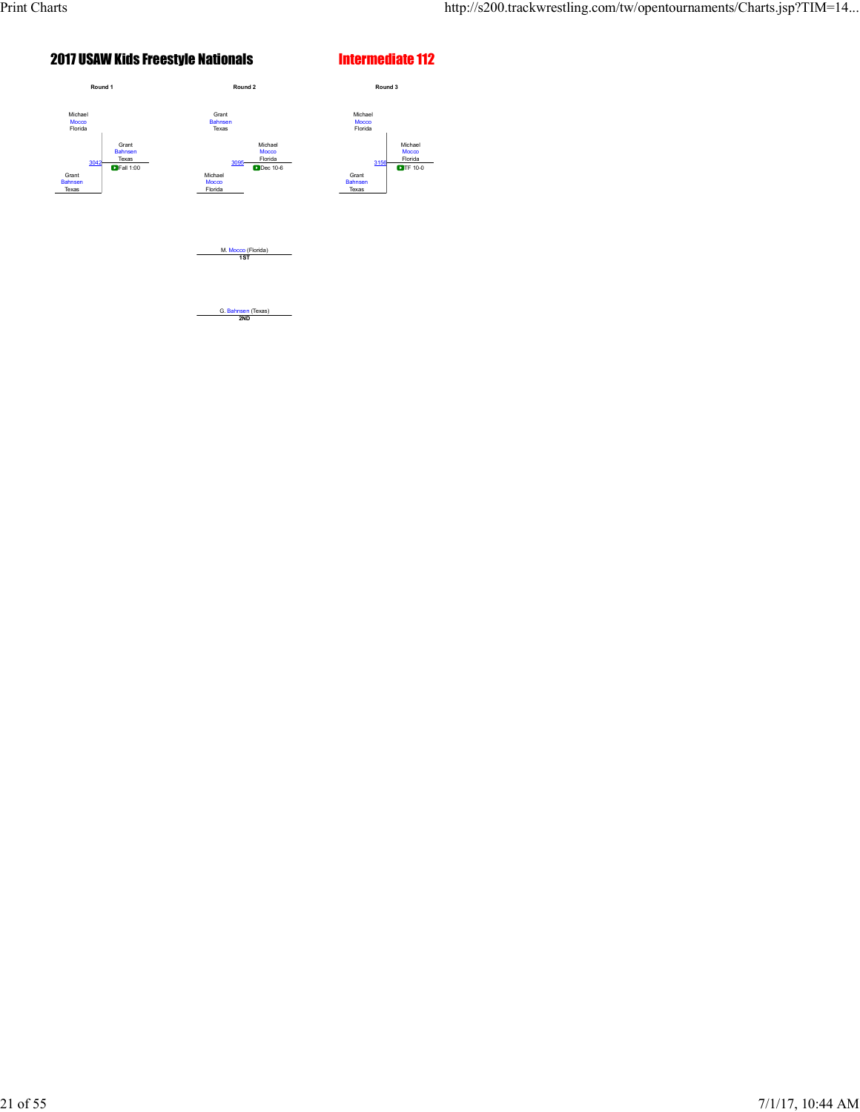

M. Mocco (Florida) **1ST**

G. Bahnsen (Texas) **2ND**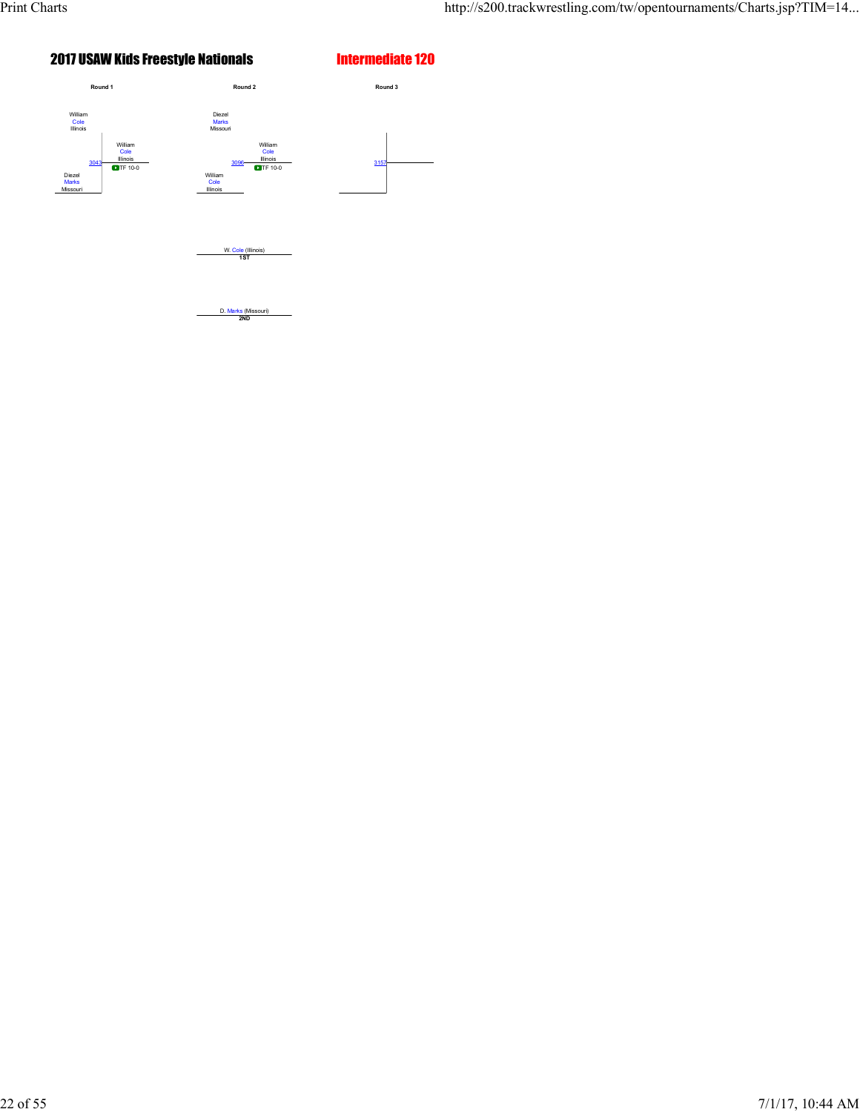

D. Marks (Missouri) **2ND**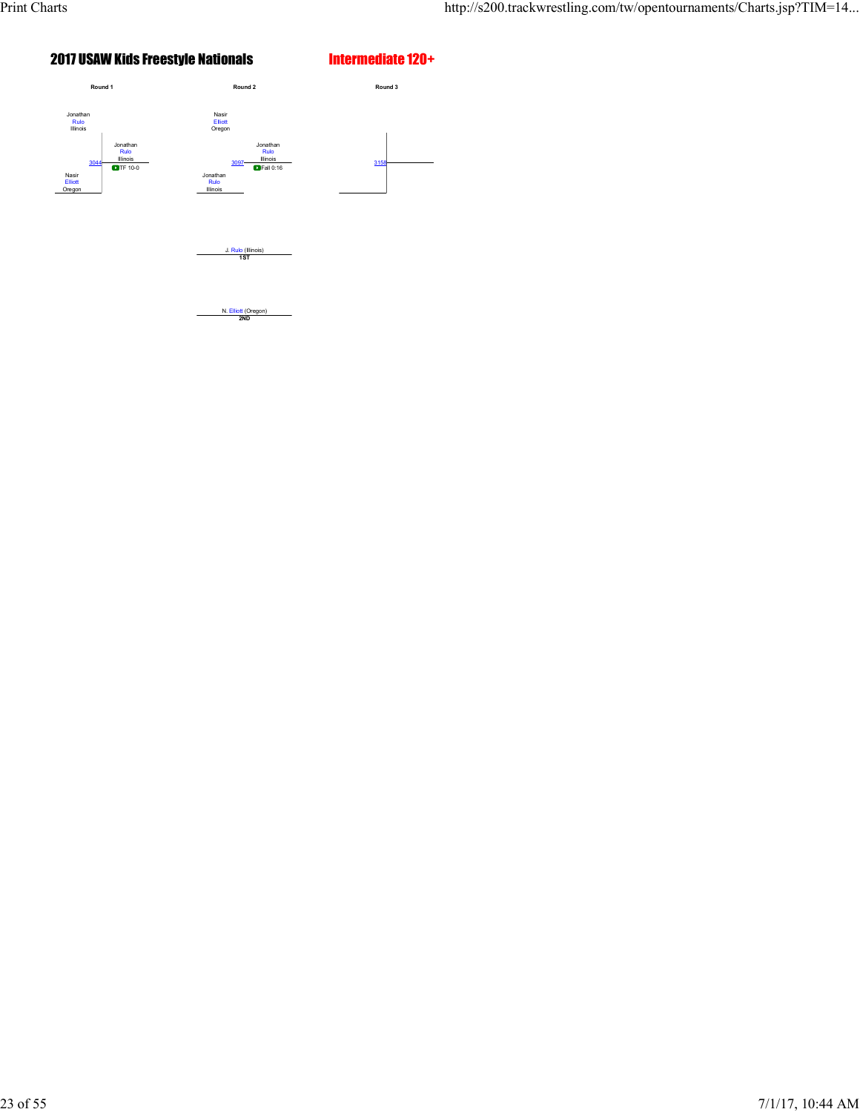

N. Elliott (Oregon) **2ND**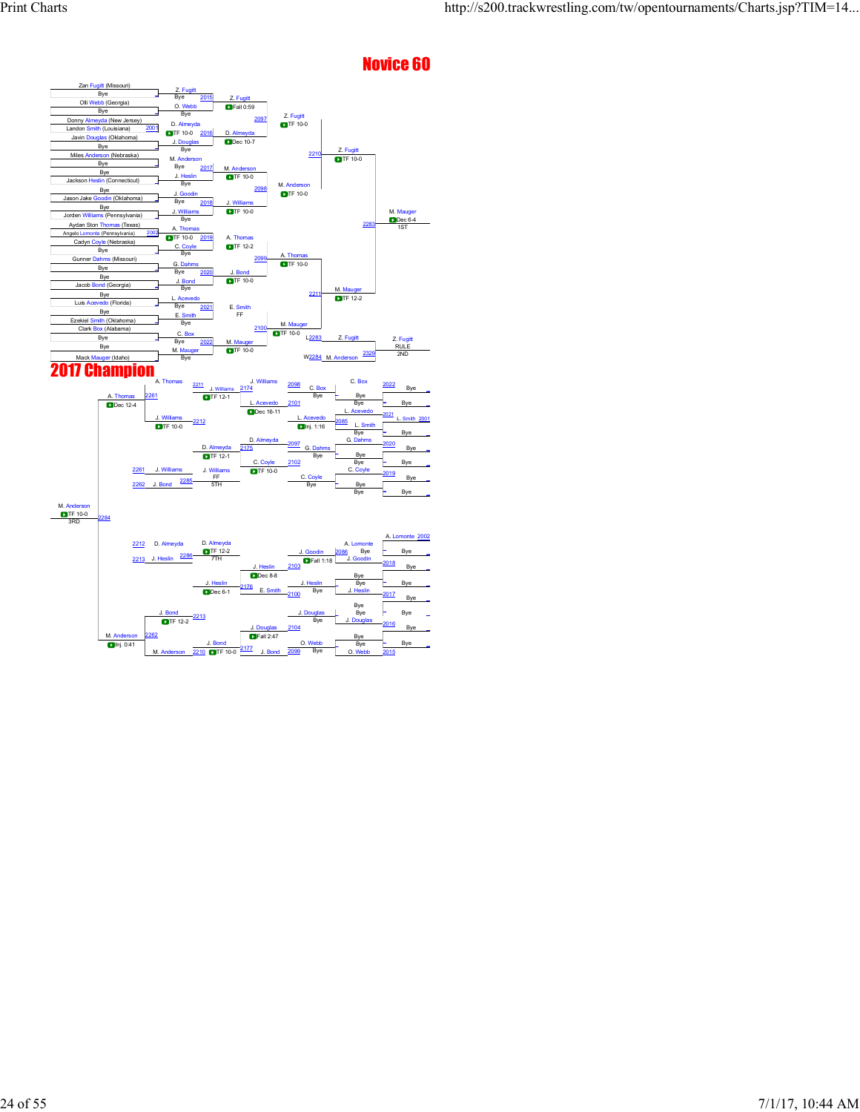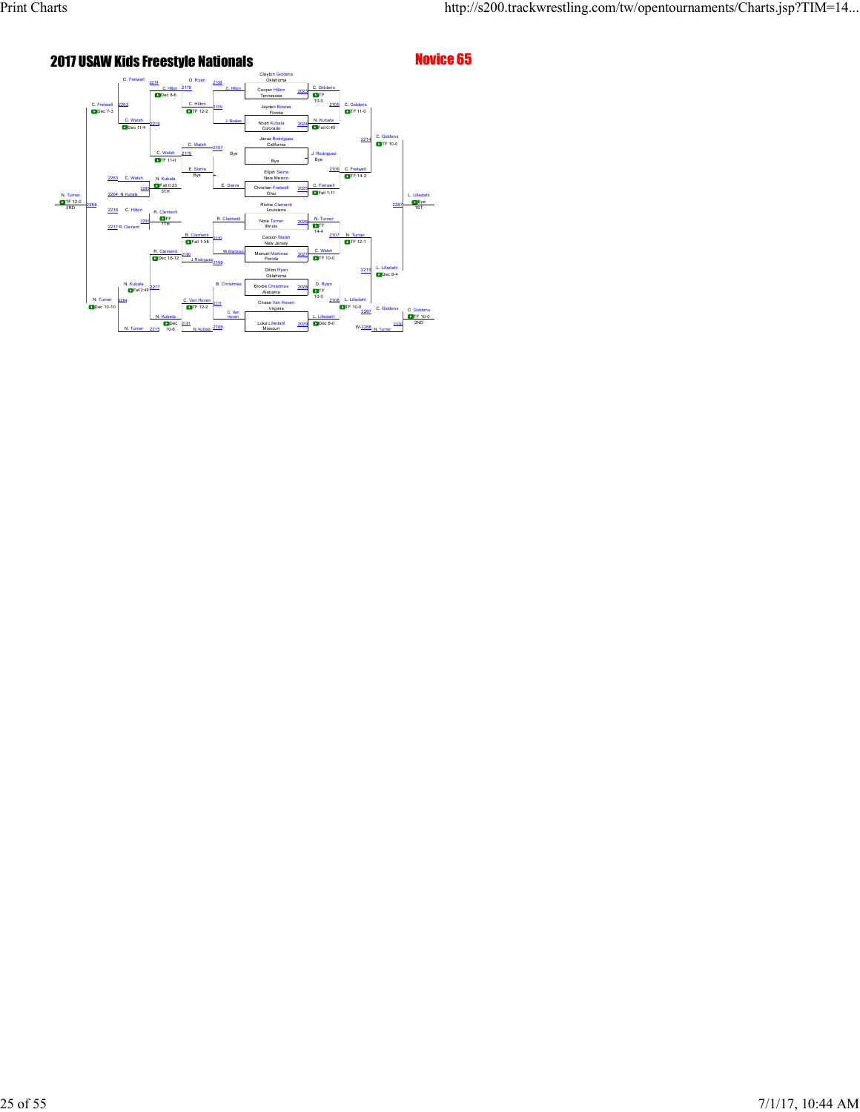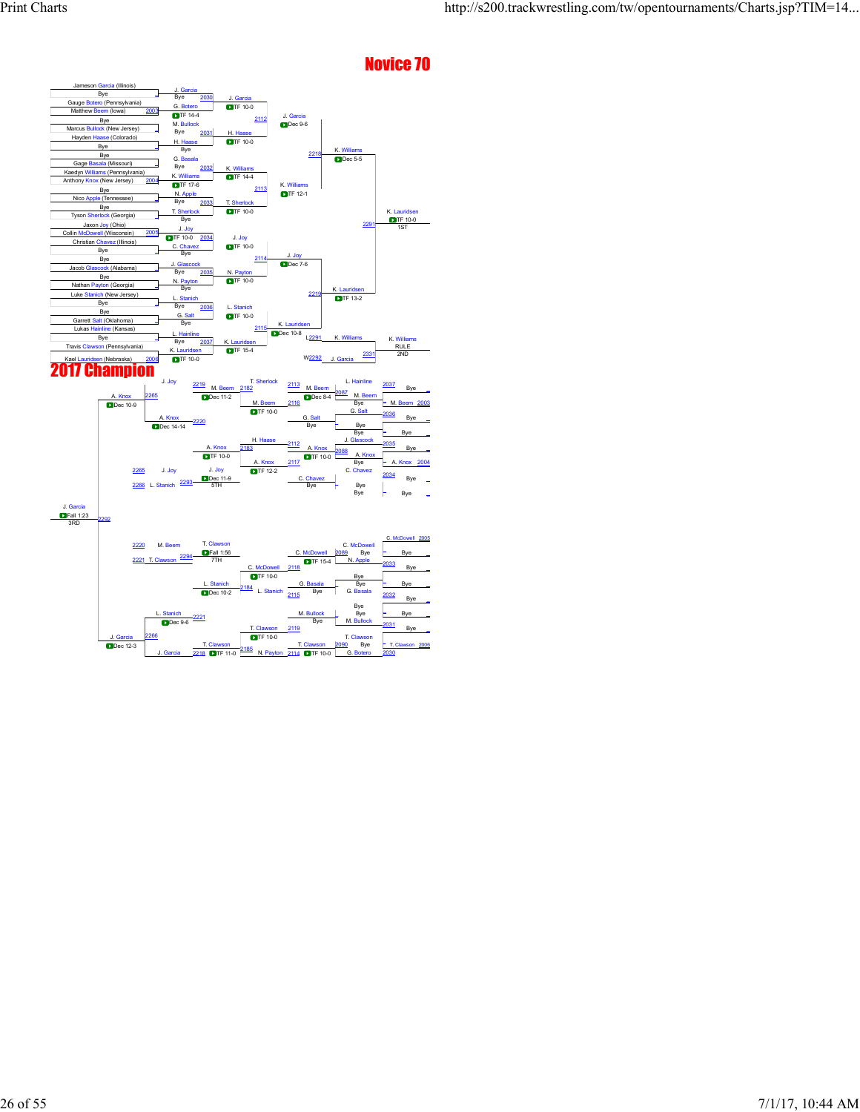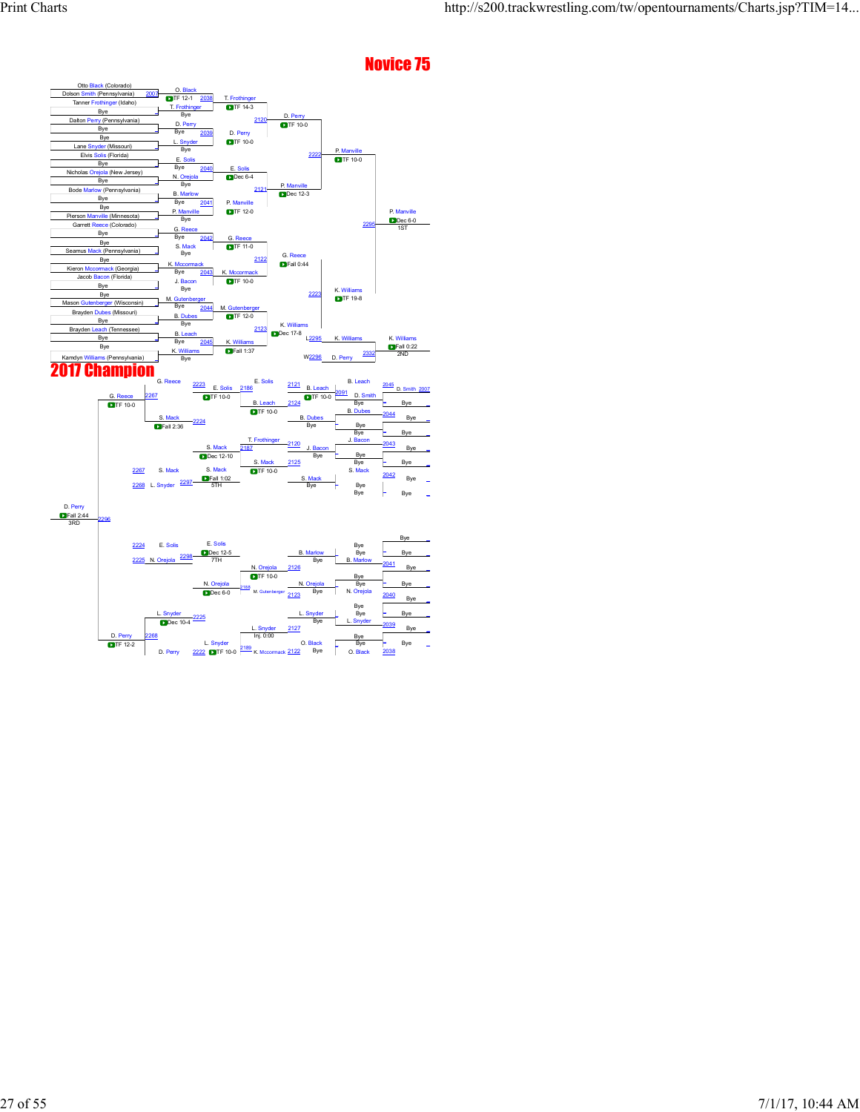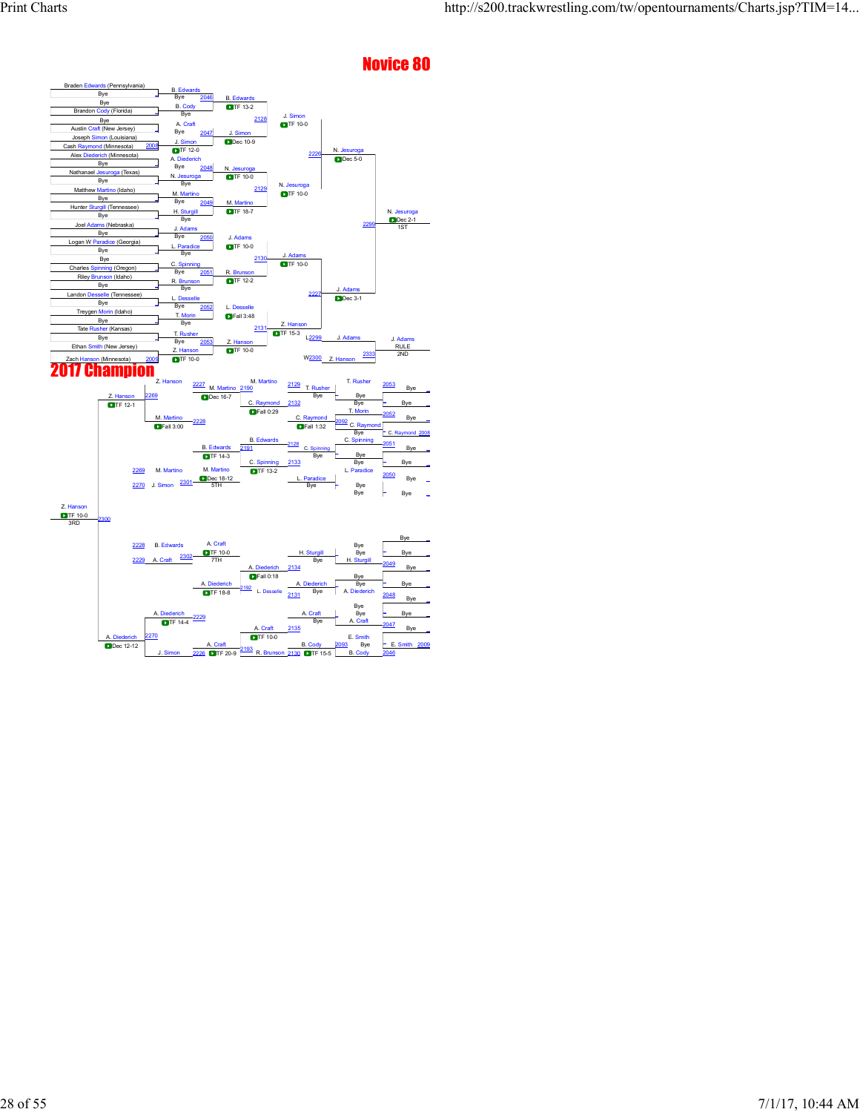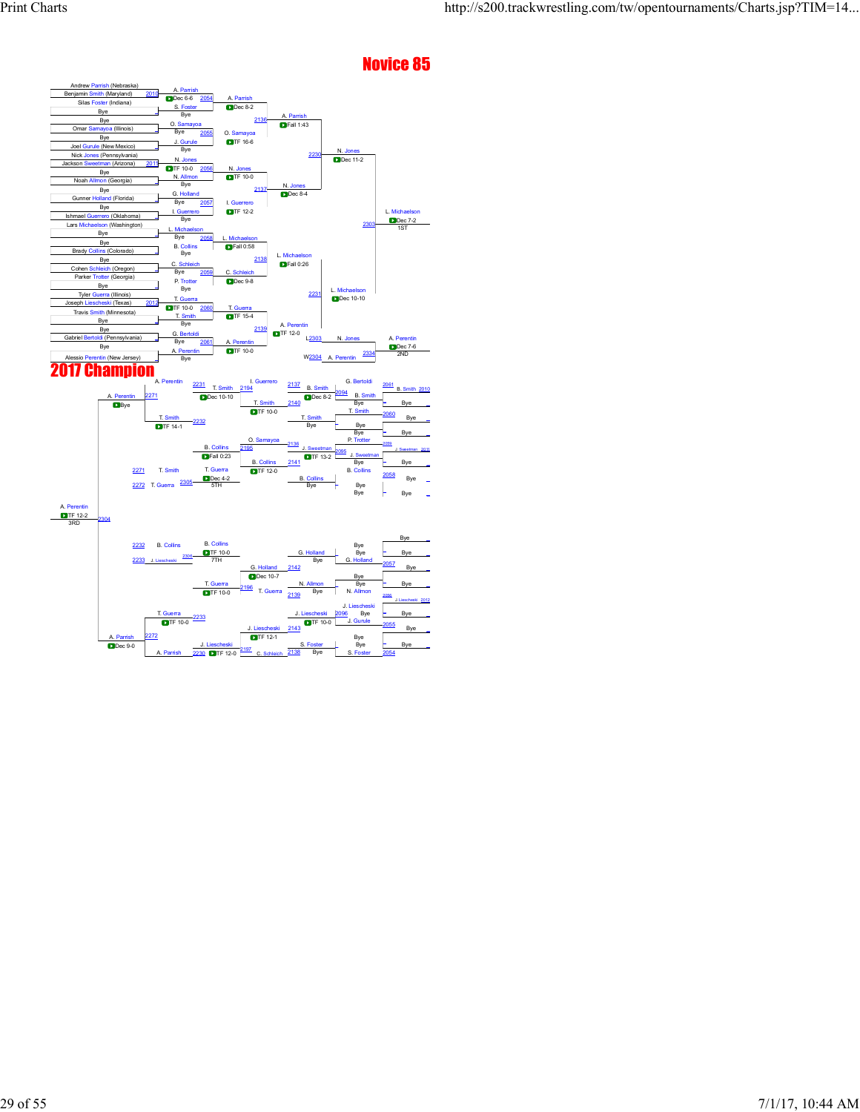### Andrew Parrish (Nebraska) A. Pa Benjamin Smith (Maryland) 2010 Silas Foster (Indiana) S. Foster Dec 8-6 2054 A. Parrish<br>Bye Bye Bye 2136 A. Parrish Bye \_ A. Pa Bye Drys 2138 A. Parrish<br>
2na Samayoa (Illinois) D. Samayoa DFall 1:43<br>
Bye 2055 O. Samayoa 2055 Bye J. Gurule **TF** 16-6 Joel <mark>Gurule</mark> (New Mexico)<br>Nick J<mark>ones</mark> (Pennsylvania Bye <sup>2230</sup> N. Jones Nick Jones (Pennsylvania) N. Jones<br>
Jackson Sweetman (Arizona) 2011 17 10-0 2056 N. Jones<br>
The 11-2 Jackson Sweetman (Arizona) 2011 17 10-0 2056 N. Jones  $\Box$ **Bye D**TF 10-0 2056 N. Jones<br>Bye N. Allmon DTF 10-0<br>mon (Georgia) N. Allmon DTF 10-0 N. Jo N. Allm <mark>n (Georgia</mark> N. Jones **Bye** 2137  $\frac{2137}{\text{Bye}}$  Dec 8-4 Gunner Holland (Florida) Bye <u>2057</u> I. Guerrero<br>I. Guerrero **TST**F 12-2 L. Michaelson<br>Bye **ISD**ec 7-2 Michaelson Bye Ishmael Guerrero (Oklahoma) \_ Dec 7-2 1ST <mark>n</mark> (Washington) 230 **Mich** Bye \_ Bye  $20$ <u>L. Michaelson</u><br><u>Bye B. Collins</u> B. Collins Fall 0:58 B. Collin<br>Bye Brady Collins (Colorado) \_ L. Michaelson<br>DFall 0:26 Bye <u>2138</u> C. Schleich Cohen Schleich Fall 0:26 Bye 2059 C. Schleich<br>P. Trotter DDec 9-8 Parker Trotter (Georgia)<br>Bye Bye P. Trotter Bye Bye P. Trotter<br>Bye Bye \_\_\_\_\_\_\_\_\_\_\_\_\_\_\_ **2231** L. Michaelson<br>**D** Dec 10-10 Tyler Guerra (Illinois) i (Texas <mark>T. Guerra</mark><br>ITF 10-0 2060 T. Guerra<br>1911 F 15-4 Travis Smith (Minnesota) T. Smit<br>Bye  $Bve$ A. Perentin<br>
Bye Bottoldi (Pennsylvania) G. Bertoldi<br>
Gabriel Bertoldi (Pennsylvania) Bye 2061 A. Perentin Bye 2139  $\Gamma$ N. Jones A. Perentin Bye A. Perentin **D**TF 10-0<br>
Note **NATE 10-0**<br>
W<sub>2304</sub> A. Perentin 2334 Dec 7-6 Alessio Perentin (New Jersey) Alessio Perentin (New Jersey)  $W<sub>2304</sub>$  A. F 2ND **Bye** 1. G<br>194 G. Bertoldi 213<u>7</u>  $\frac{2231}{\text{Dec}}$  T. Smith B. Smith 2010 2271 Dec 8-2  $\frac{3.5 \text{ mi/h}}{2.5 \text{ mi/h}}$ **B**Bye Bye \_ Bye T. <mark>Smith 2140</mark><br>2TF 10-0 Bye T. Smith 2060 Bye \_ <u>T. Smith 2232</u><br>2011 TF 14-1 Bye Bye Bye T. Smith 2232 \_ Bye<br>Bye Bye \_ Bye \_  $\circ$ P. Trotter 2136 2059 <u>Collins 2195</u><br>Fall 0:23 **2006**<br>**Direct Collins 2006** 2006 2006 2009<br>**Direct Collins 2006** J. Sweetman 2011 B. Collins B. Collins 2141<br>DITF 12-0 Bye<br>B. <mark>Collins</mark> Bye \_ T. Smith T. Guerra 2271  $\frac{58}{9}$  Bye  $\overline{\phantom{0}}$ **Dec 4-2**<br>2272 T. Guerra 2305 5TH 5TH Bye B B. Collins 5TH Bye Bye Bye \_ Bye \_ A. Perentin<br>**DITF 12-2** 2304 Bye \_ 2232 Bye<br>G. Holland **C.** Bye B. Collins B. Collins Bye<br>1990 - Bye Bye Bye Bye Bye Bye Bye Bye B. Holland Bye B. Holland<br>2<u>306</u> - 7TH Bye B. Holla Bye \_  $223$ Bye G. Holland 2057 Bye \_ G. Holland 2142 Diec 10-7 Bye<br>Bye N. Allmon Bye N. Allmon Land Bye Bye \_ TF 10-0 2196 T. Guerra 2139 Bye N. Allmon  $T = 10-0$ 2056 J. Liescheski 2012 J. Liescheski <u>J. Liescheski 2096</u> Bye –<br>2233 **3296 Bye – J. Liescheski 2096** Bye  $Bv$ T. Guerra<br>**T**TF 10-0 TF 10-0 J. Gurule 2055 J. Liesch 2143  $DTF 12-1$ 2272 DDec 9-0 S. Foster \_ \_ Bye Dec 9-0 Bye \_ J. Liescheski A. Parrish 2230 TTF 12-0 2197 C. Schleich 2138 Bye S. Foster 2054 C. Schleich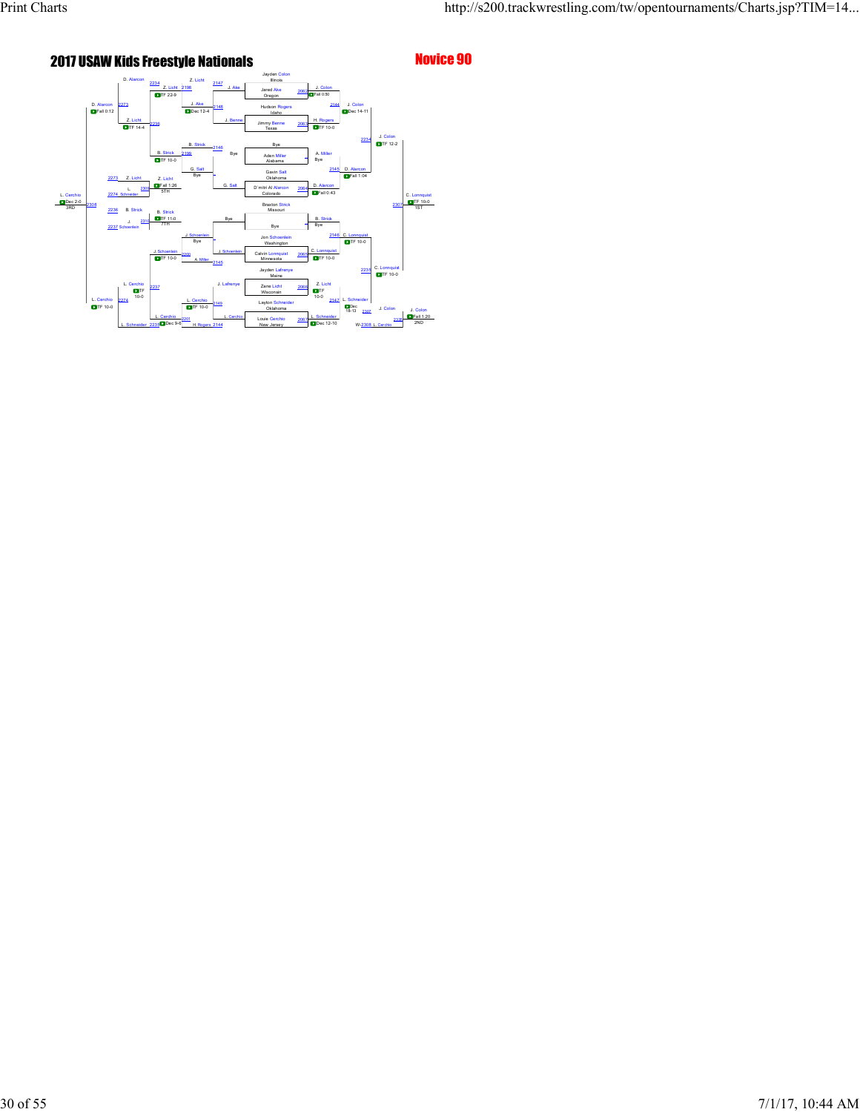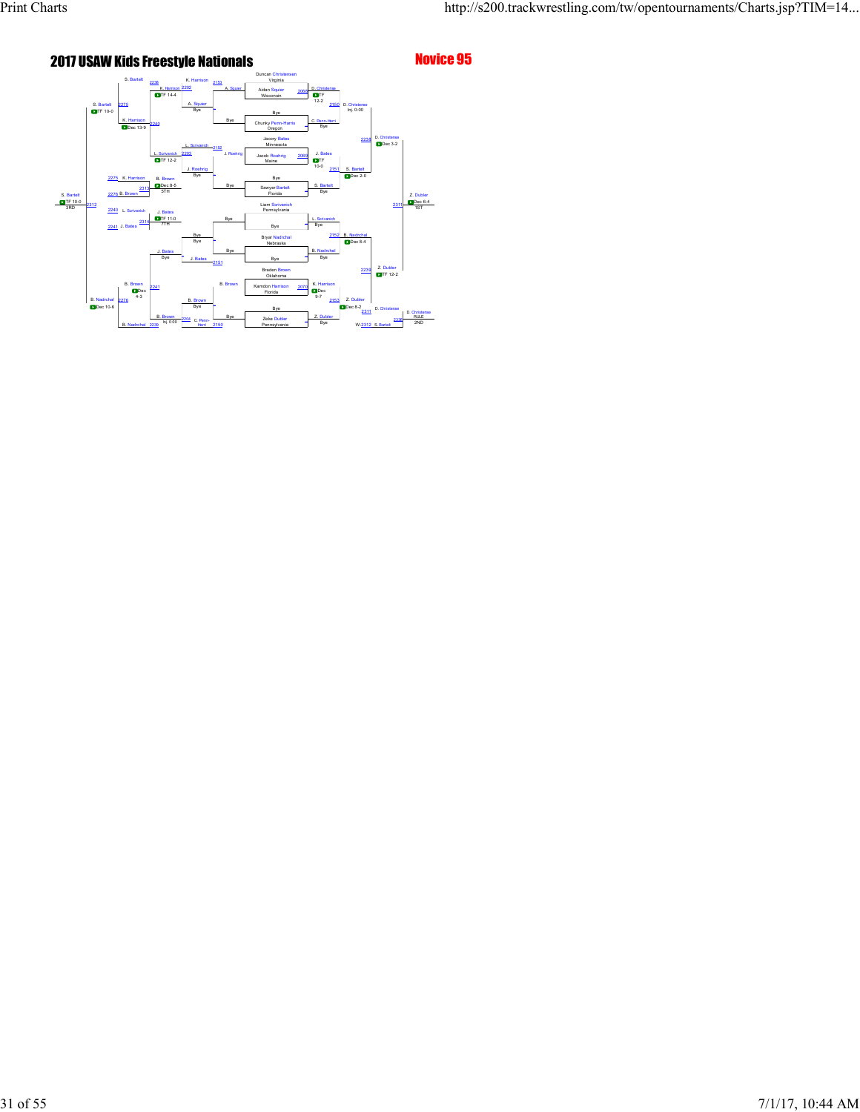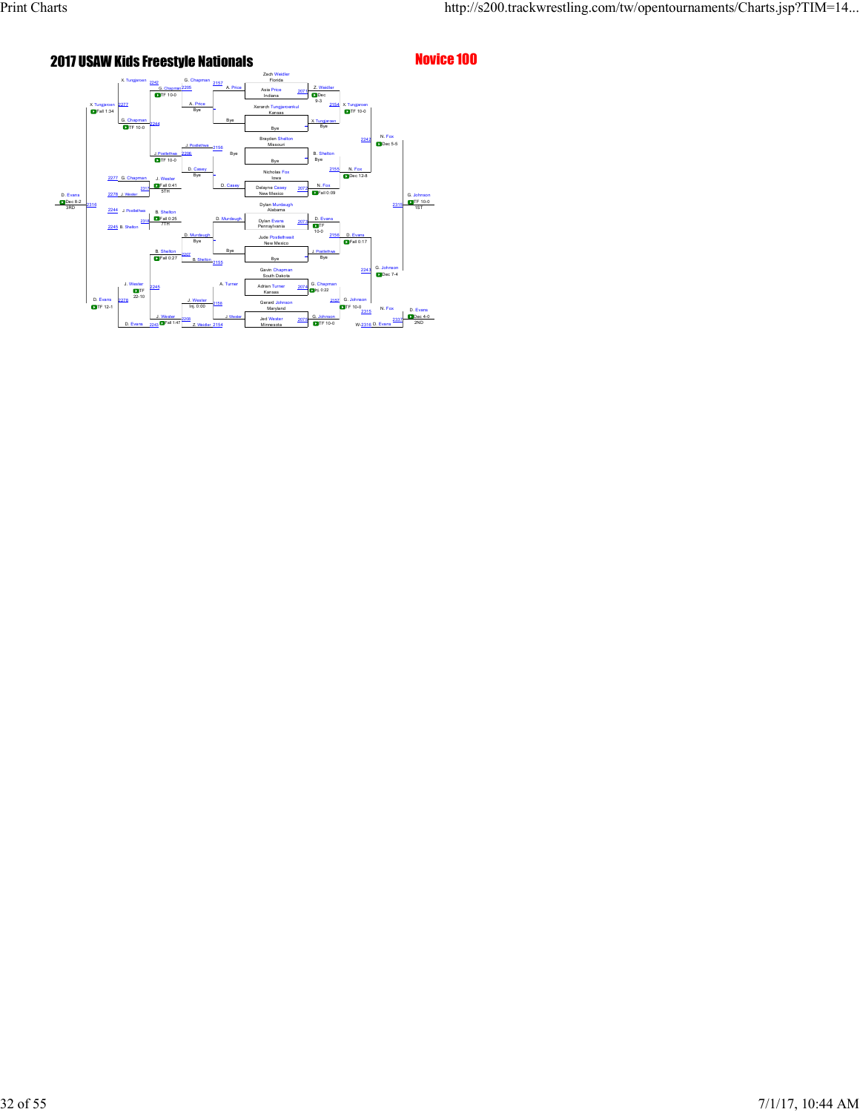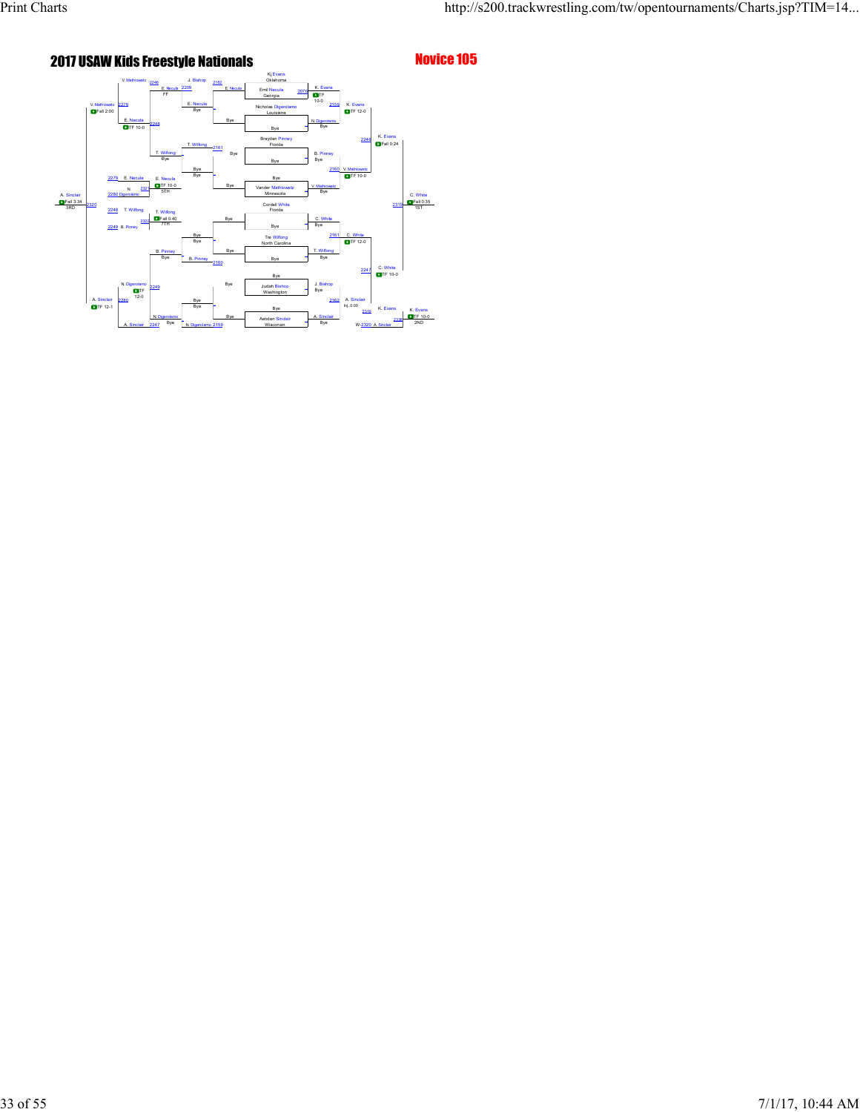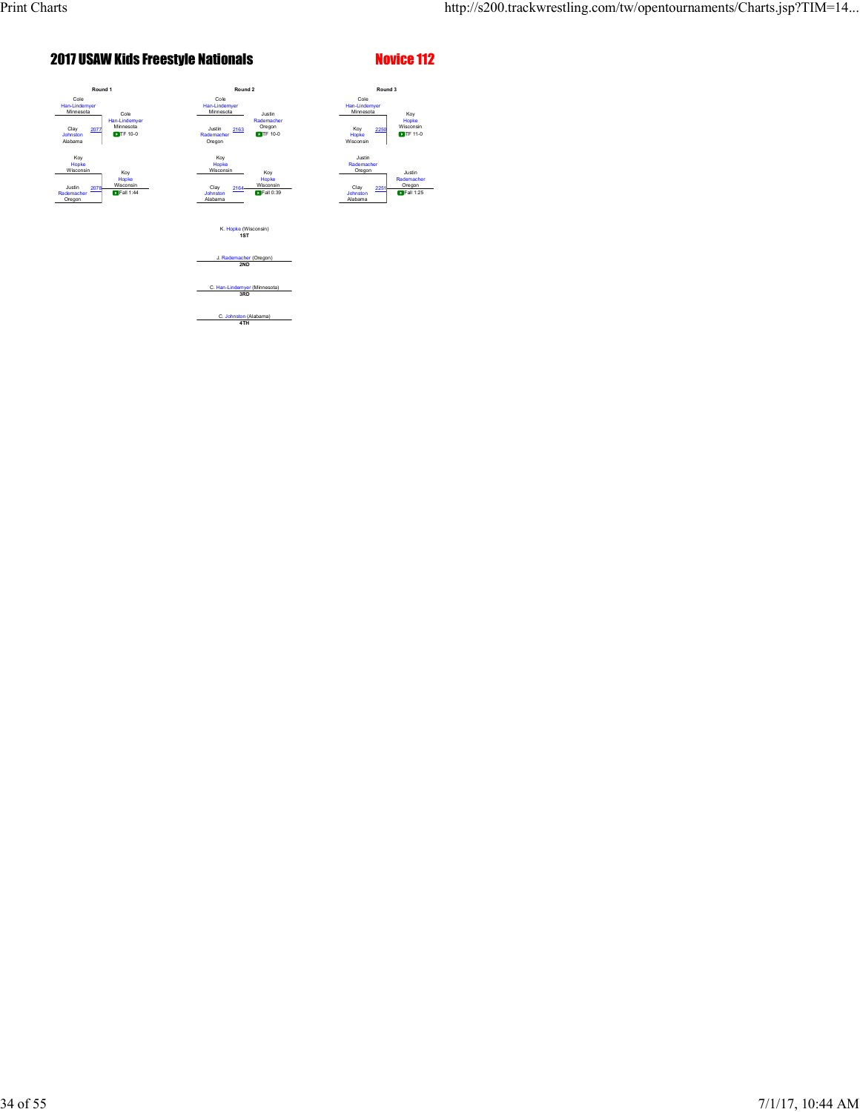



r (Min **3RD**

C. Johnston (Alabama) **4TH**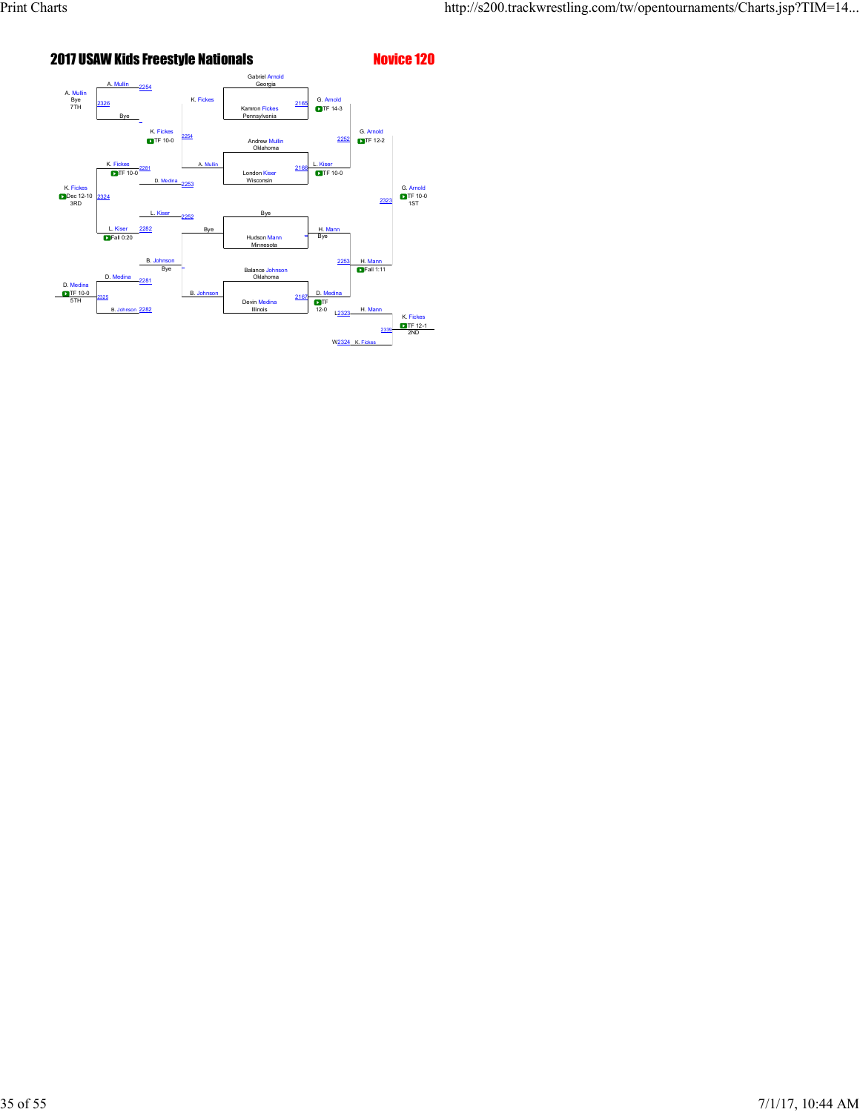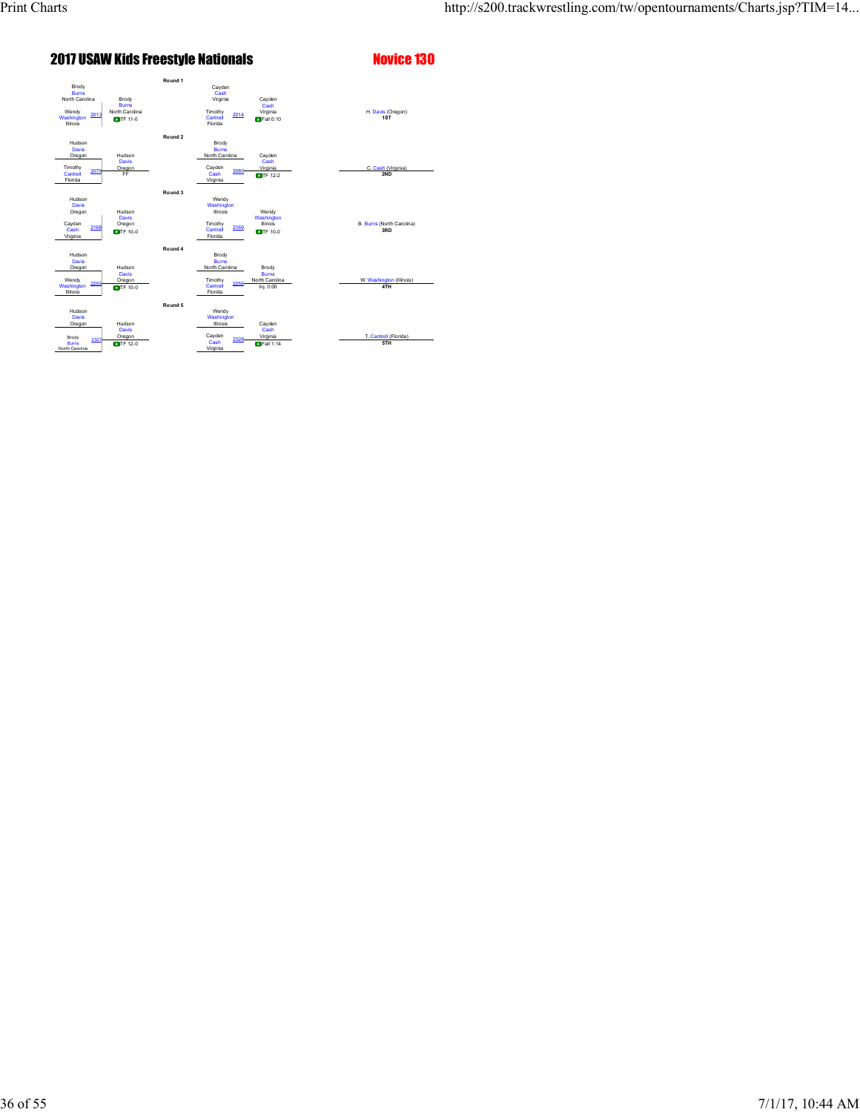| Brody<br><b>Burns</b><br>North Carolina<br>Wendy<br>2013<br>Washington<br>Illinois | Brody<br><b>Burns</b><br>North Carolina<br><b>DITF 11-0</b> | Round <sub>1</sub> | Cayden<br>Cash<br>Virginia<br>Timothy<br>2014<br>Cantrell<br>Florida              | Cavden<br>Cash<br>Virginia<br>$T$ Fall 0:10         | H. Davis (Oregon)<br>1ST         |
|------------------------------------------------------------------------------------|-------------------------------------------------------------|--------------------|-----------------------------------------------------------------------------------|-----------------------------------------------------|----------------------------------|
| Hudson<br><b>Davis</b><br>Oregon<br>Timothy<br>2079<br>Cantrell<br>Florida         | Hudson<br>Davis<br>Oregon<br>FF                             | Round <sub>2</sub> | Brody<br><b>Burns</b><br>North Carolina<br>Cayden<br>2080<br>Cash<br>Virginia     | Cayden<br>Cash<br>Virginia<br><b>DITF 12-2</b>      | C. Cash (Virginia)<br>2ND        |
| Hudson<br><b>Davis</b><br>Oregon<br>Cayden<br>2168<br>Cash<br>Virginia             | Hudson<br>Davis<br>Oregon<br><b>DTF</b> 10-0                | Round 3            | Wendy<br>Washington<br><b>Illinois</b><br>Timothy<br>2169<br>Cantrell<br>Florida  | Wendy<br>Washington<br>Illinois<br><b>DITF 10-0</b> | B. Burns (North Carolina)<br>3RD |
| Hudson<br><b>Davis</b><br>Oregon<br>Wendy<br>225<br>Washington<br>Illinois         | Hudson<br>Davis<br>Oregon<br><b>DITF 10-0</b>               | Round 4            | Brody<br><b>Burns</b><br>North Carolina<br>Timothy<br>2256<br>Cantrell<br>Florida | Brody<br><b>Bums</b><br>North Carolina<br>Ini. 0:00 | W. Washington (Illinois)<br>4TH  |
| Hudson<br>Davis<br>Oregon<br>Brody<br>232<br><b>Burns</b><br>North Carolina        | Hudson<br>Davis<br>Oregon<br><b>DTF</b> 12-0                | Round 5            | Wendy<br>Washington<br><b>Illinois</b><br>Cayden<br>2328<br>Cash<br>Virginia      | Cayden<br>Cash<br>Virginia<br>$D$ Fall 1:14         | T. Cantrell (Florida)<br>5TH     |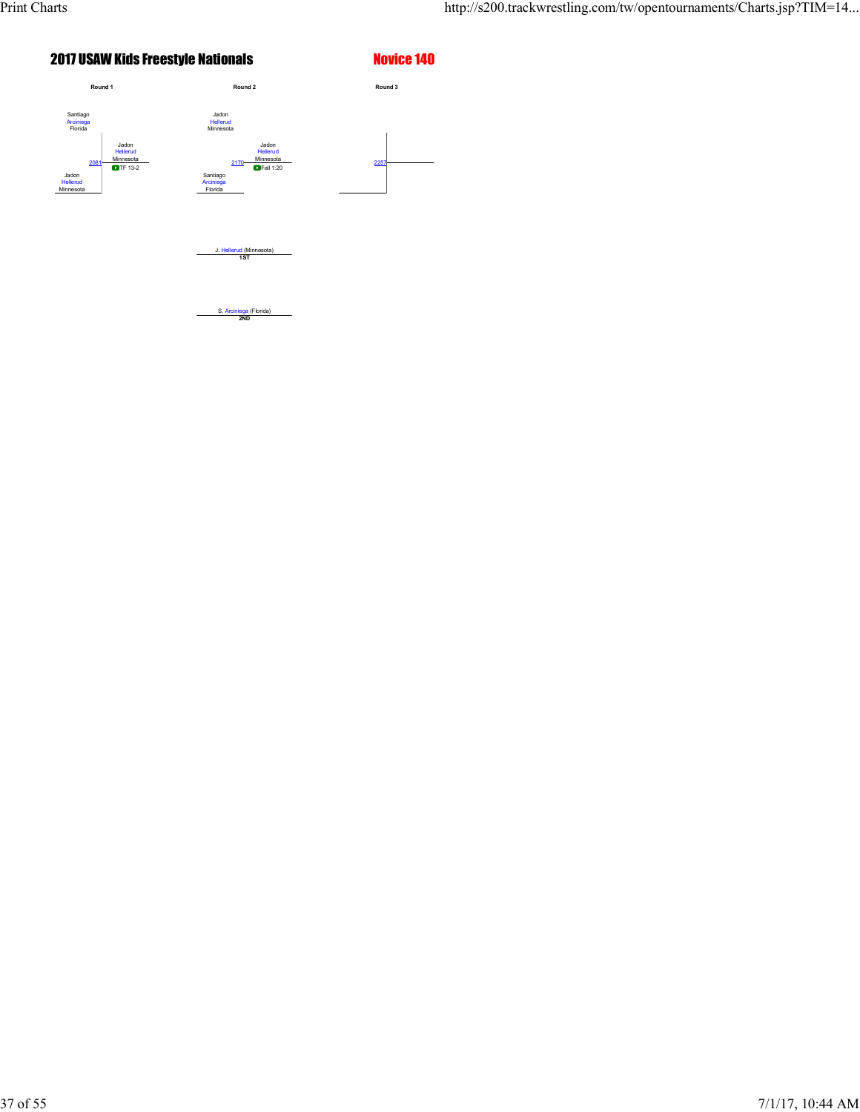

S. Arciniega (Florida) **2ND**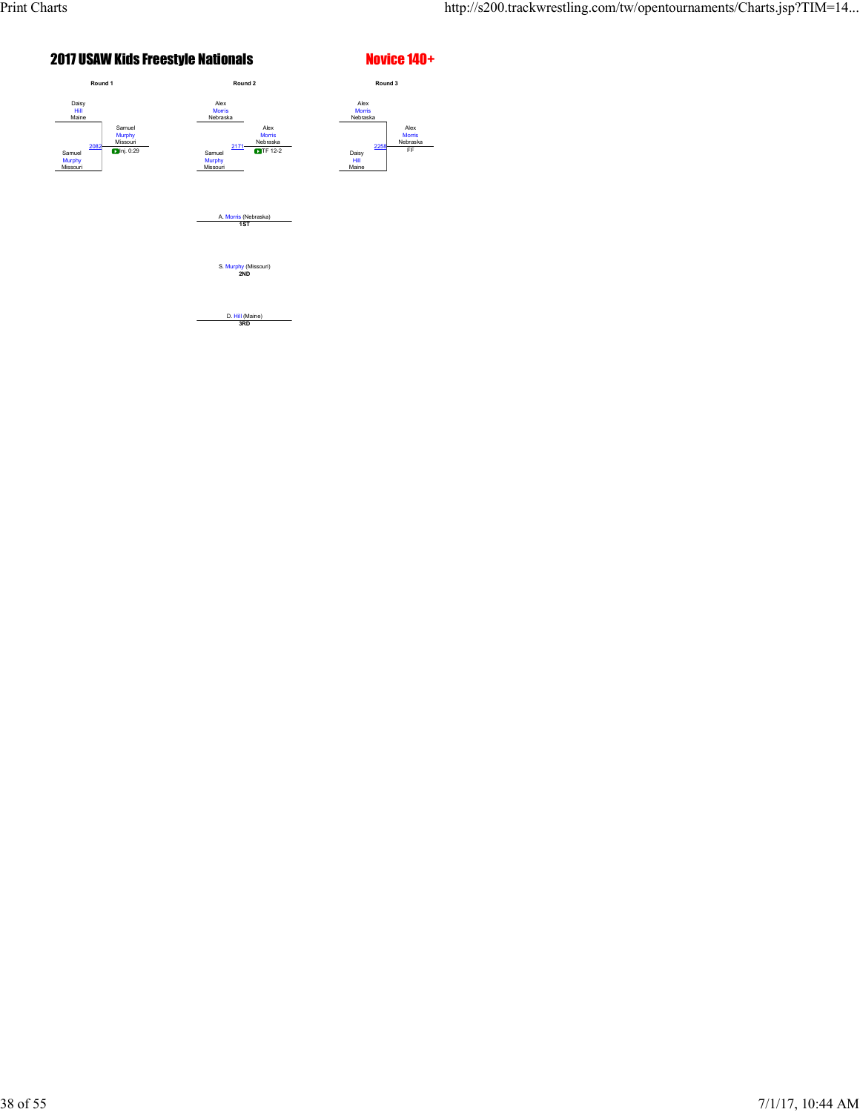

D. Hill (Maine) **3RD**

Alex Morris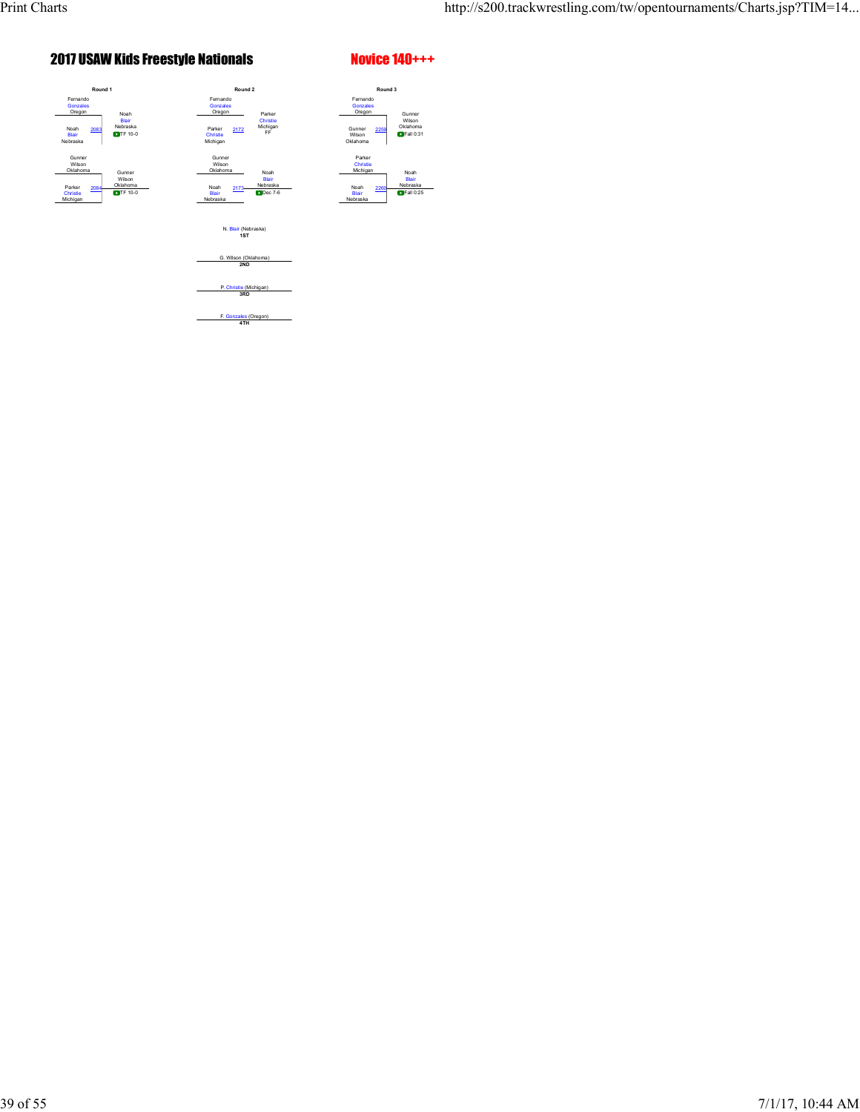



P. Christie (Michigan) **3RD**

G. Wilson (Oklahoma) **2ND**

F. Gonzales (Oregon) **4TH**

**Christie** Michigan

Nebraska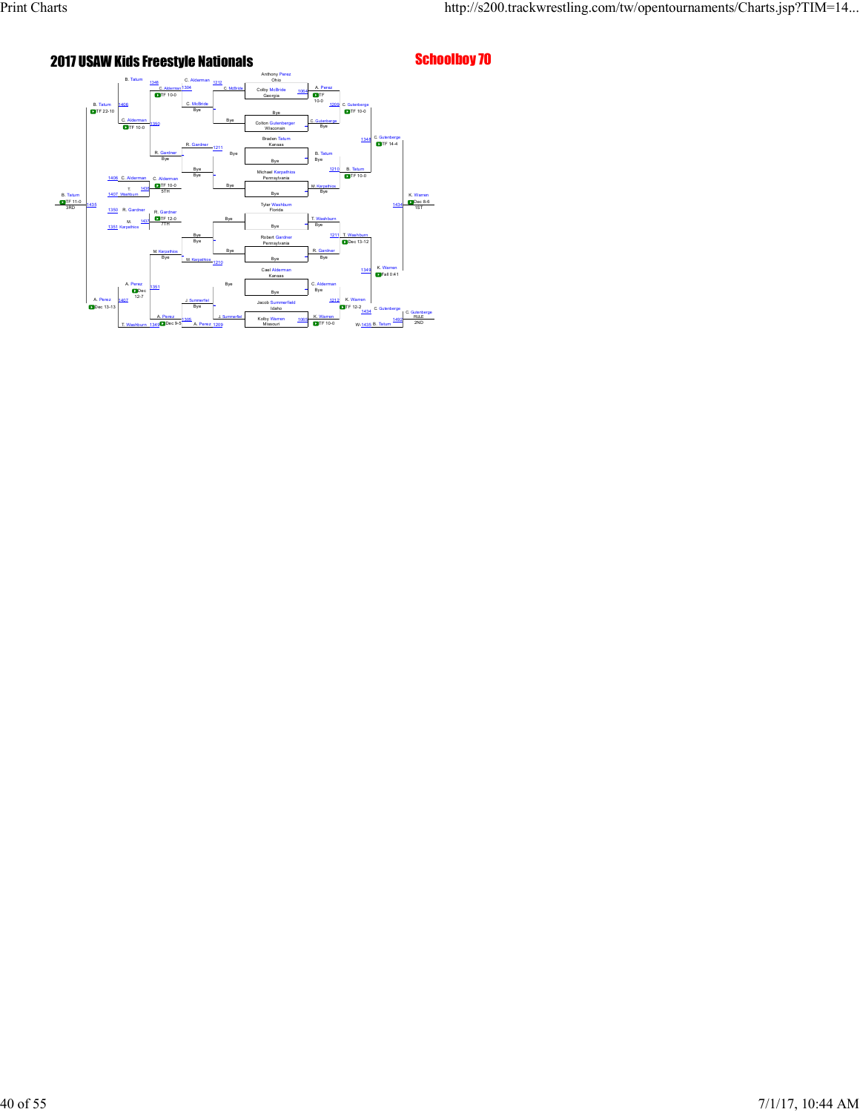# 2017 USAW Kids Freestyle Nationals **Schoolboy 70** Schoolboy 70

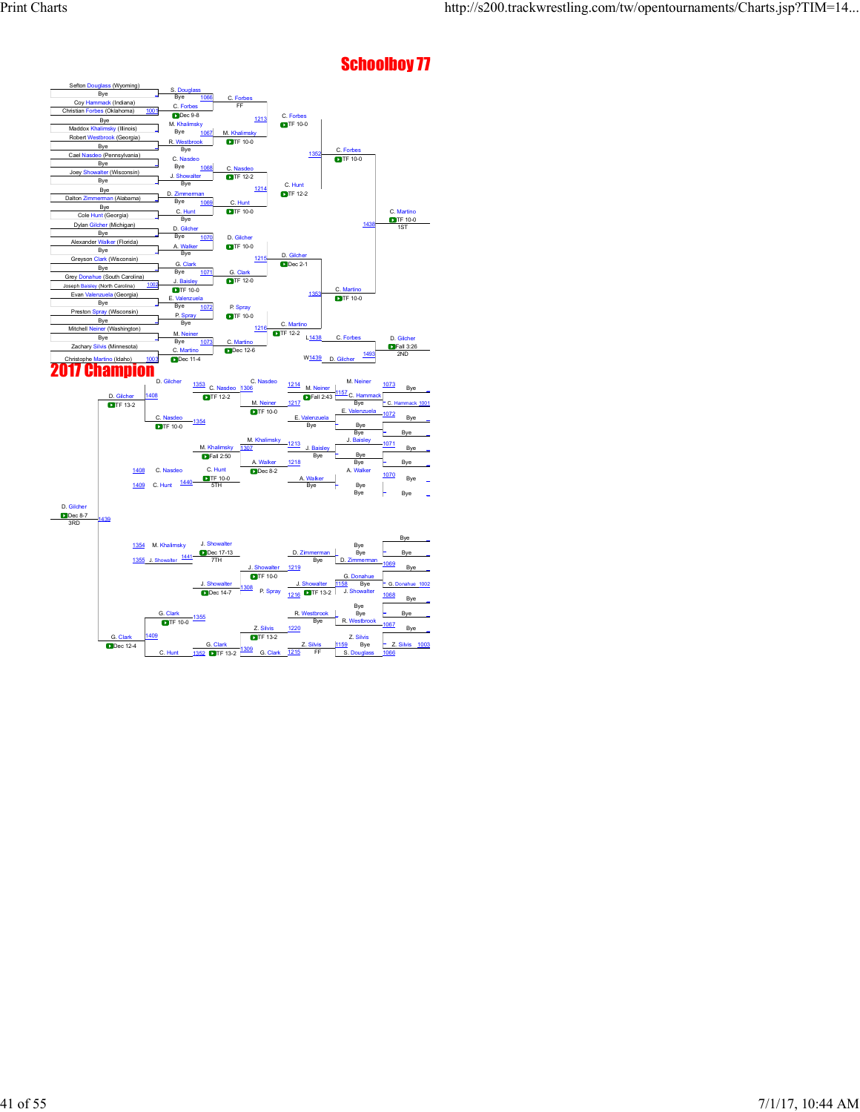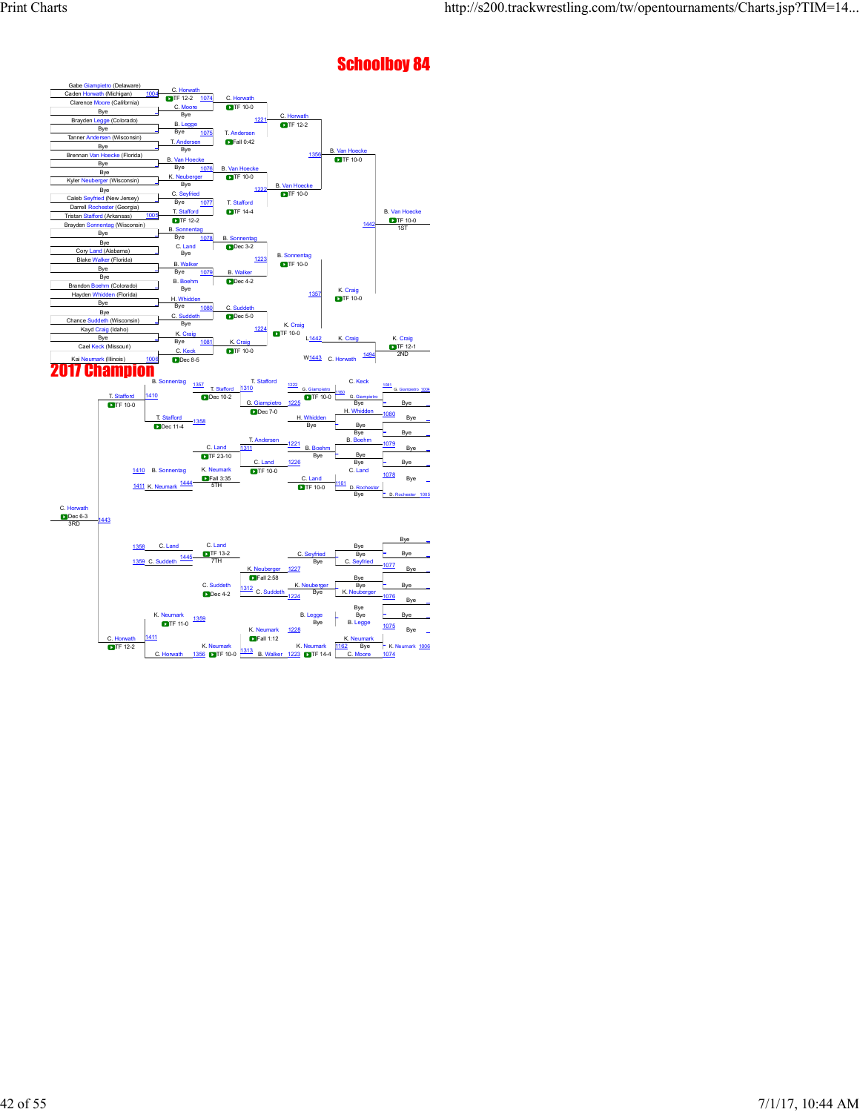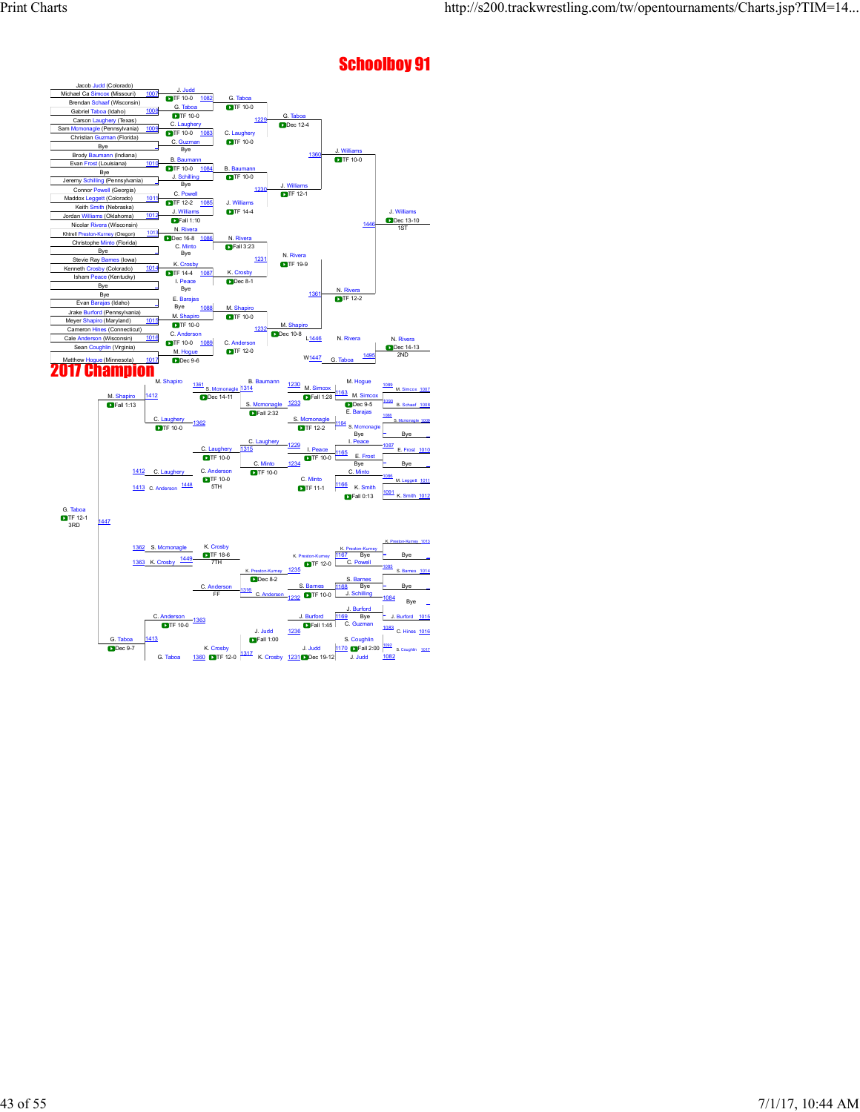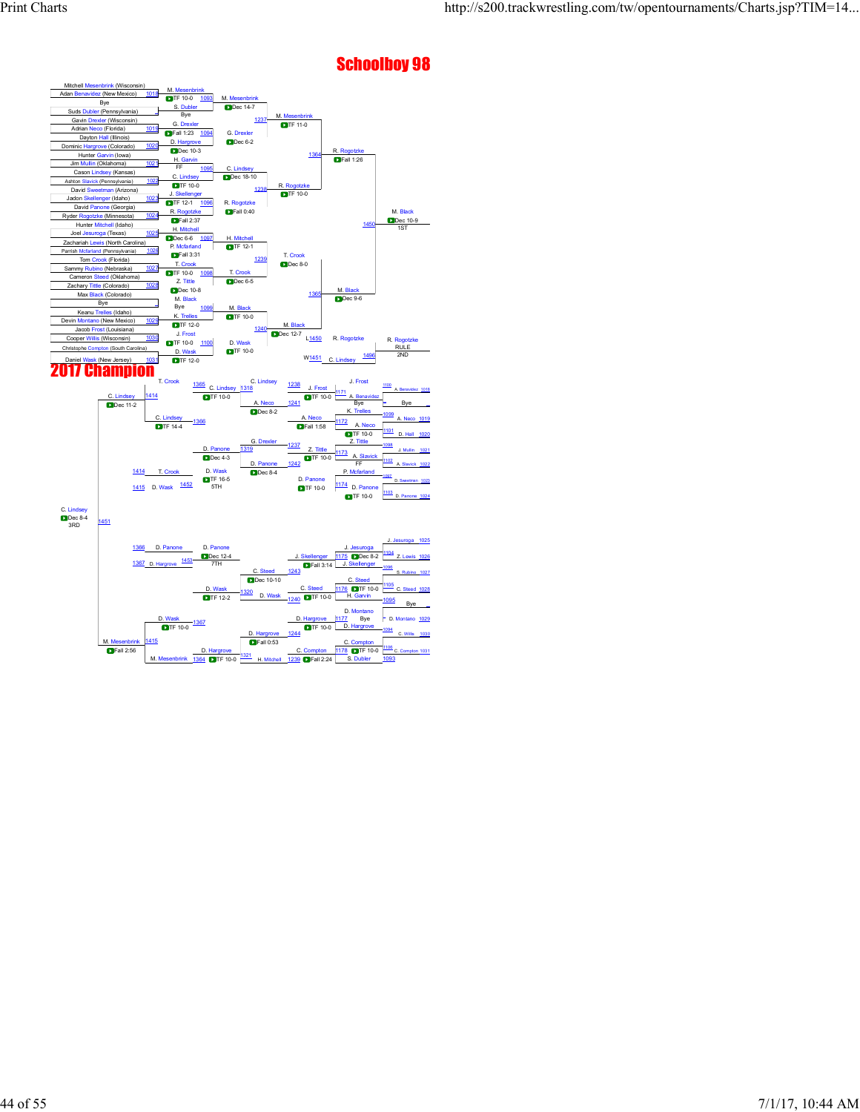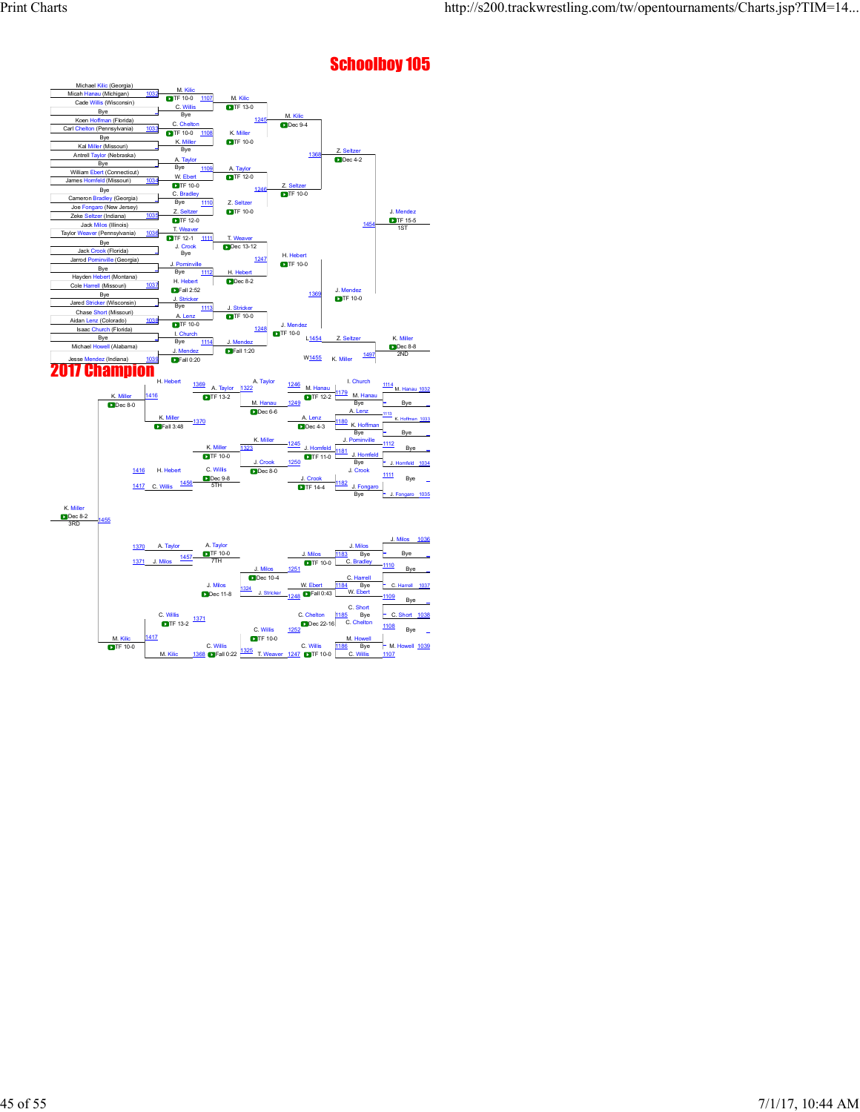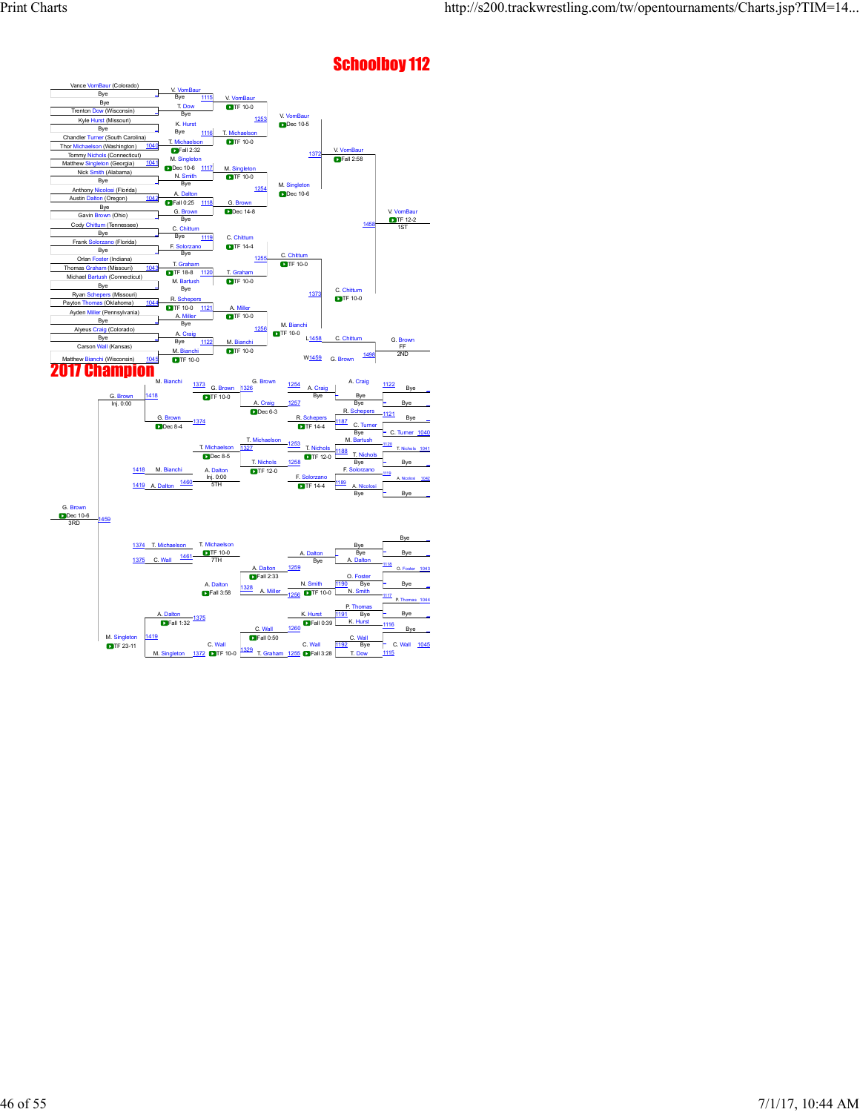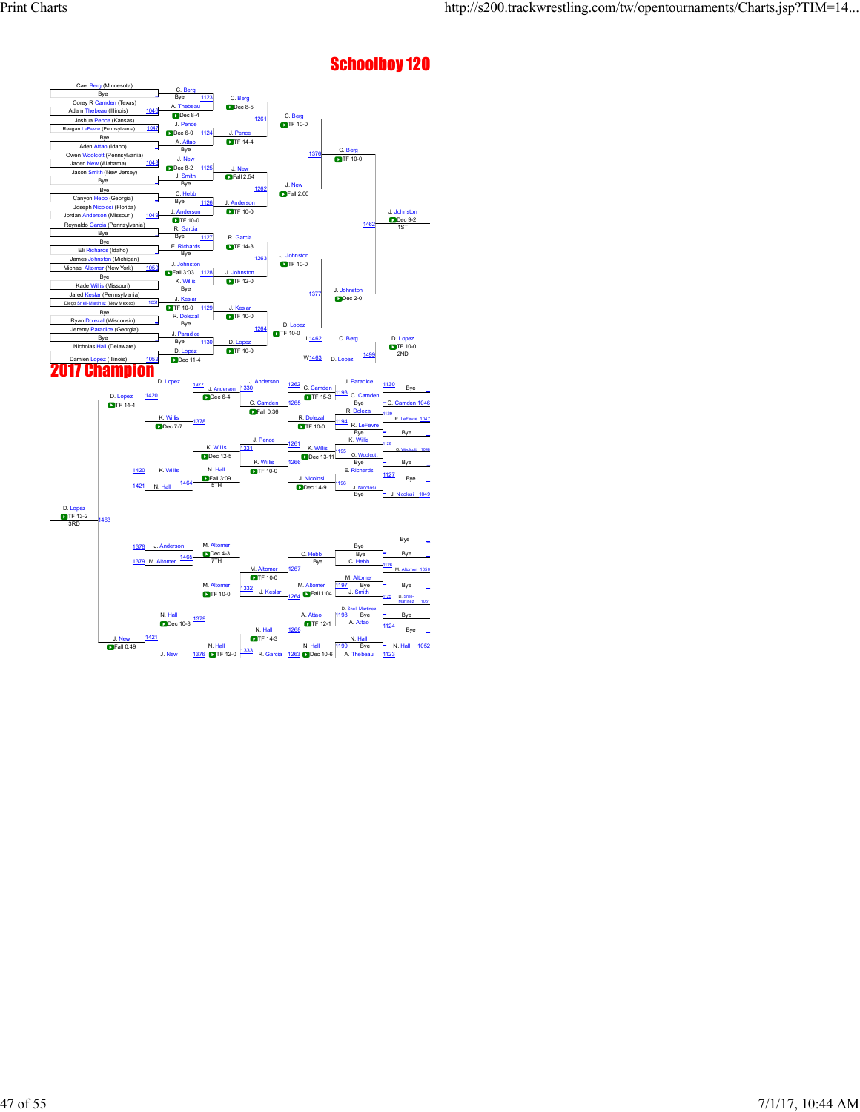### Cael Berg (Minne Г C. Berg Bye \_ Bye  $\frac{112}{1}$ Example Bye 1123 C. Berg<br>Corey R Camden (Texas) A. Thebeau Dec 8-5 A. Inepead<br>Dec 8-4<br>J. Pence Adam Thebeau (Illinois) 1046 Joshua Pence (Kansas)<br>Reagan LeFevre (Pennsylvania C. Berg J. Pence TF 10-0  $\Gamma$ (Pennsylvani Dec 6-0 1124 Bye A. Atta<br>Bye **D**TF 14-4 Aden Attao (Idaho) \_ 1376 C. Berg<br>1376 DTF 10-0 Owen Woolcott (Pennsylvania) J. New Jaden New (Alabama) 1048 J. New Jaden New (Alabama) 1048 Dec 8-2  $112$ J. New Son Smith (New Jersey) J. Smith Table 2 2 1129 J. New J. Smith Fall 2:54 J. Smitl<br>Bye Bye \_ J. New C. Hebb Fall 2:00 Bye 1262 Canyon Hebb (Georgia)<br>Joseph <mark>Nicolosi</mark> (Florida) Bye 1126 J. Anderson<br>J. Anderson DTF 10-0 Joseph Nico J. Anderson J. Diff 10-0<br> **Diff** 10-0<br>
R. Garria Jordan Anderson (Missouri) **D**TF 10-0 Reynaldo Garcia (Pennsylvania)<br>R. Garcia (R. Garcia (R. Garcia (R. Garcia (R. Garcia (R. Garcia e R. Garcia e R. Garcia e R. Garcia e R. Garcia e R. Garcia e R. Garcia e R. Garcia e R. Garcia e R. Garcia e R. Garcia e R. G 14 Bye \_\_\_\_\_\_\_\_\_\_\_\_\_\_\_ 1127  $\frac{2.2}{\text{Bye}}$  Bye  $\frac{1127}{\text{Bye}}$  R. Garcia Eli Richards (Idaho)<br>mes Johnston (Michig Bye James Johnston (Michigan) 1263 **D** TF 10-0 Michael Altomer (New York) 1050<br>
Bye Kade Willis (Missouri) B. Willis Translate Michael Altomer K. Willis (Missouri) B. Willis Turk 12-0<br>
Bye Kade Willis (Missouri) Bye Bye<br>Kade Willis (Missouri) 1377 J. Johnston<br>Dec 2-0 Jared Keslar (Pennsylvania) J. Keslar Diego Snell-Martinez (New Mexico) 1051 TF 10-0 1129 J. Keslar Bye R. Dolezal D. Neslar<br>R. Dolezal D. TF 10-0 R. Doleza Ryan Dolezal (Wisconsin) \_ Experimental and the U. Lopez<br> **D. Lopez**<br>
Bye <u>Bye 1130</u> D. Lopez<br>
Bye 1130 D. Lopez<br> **D. Lopez** adice (Georgia) 1264<br>
adice (Georgia) 1264<br>
and 1264 D. Lop C. Berg II (Delaware 149<br>1499 D. Lopez 1149<br>1996 1149 Wild Wild Wild D. Lopez 149 TF 10-0 2ND **D**Dec 11-4  $W1463$  D. L Damien Lopez (Illinois) 1952<br>**2017 Champion** D. Lopez 1377  $\frac{1262}{C}$ J. Paradice 1130 Bye \_ J. Anderson 1. Anderson 1330 **1202** C. Camden 1933 C. Camden 1<br>Dec 6-4 C. Camden 1995 **D** TF 15-3 C. Camden 1420  $\overline{C}$ TF 14-4 TF 14-4 **C. Camden 1265** Bye C. Camden 1046 C. <mark>Camden 1265</mark><br>D**.** Fall 0:36 Bye R. Dolezal 1129 K. Willis<br>Dec 7-7 R. Dolezal<br>
Dec 7-7 1378 1382 1394 R. LeFevre 1047<br>
Dec 7-7 1378 \_ Bye Bye \_ J. Pence K. Willis 1261 K. Willis 1195 C. Woolcott 1128 K. Willis<br>Dec 12-5 O. Woolcott 1048 e.<br>Bye K. Willis <mark>1266</mark><br>2**TF** 10-0 Bye \_ K. Willis E. Rid 1420 N. <mark>Hall</mark><br>|Fall 3:09  $\frac{1127}{\text{Bye}}$ J. Nicolosi 1421 N. Hall  $\frac{1464}{\sqrt{5}}$  5TH Dec 14-9  $\frac{1196}{\sqrt{5}}$  J. Nicolosi \_ Bye J. Nicolosi 1049 D. Lopez<br>2 TF 13-2<br>3RD 1463 Bye \_ **J. Anderson M. Altomer** Bye<br> **Dec** 4-3 C. Hebb Bye 1378  $C. Hebb$  Bye Bye \_ 1379 M. Altomer 1465 Dec 4-3 7TH Bye C. Hebb M. Al 1126 1267 M. Altomer 1050  $T$ FF 10-0 M. Altomer<br>DTF 10-0 M. Altomer **1197** Bye Bye Bye \_ <sup>1332</sup> J. Keslar **DFall 1:04** 1125 D. Snell-Martinez 1051 D. Snell-Martinez  $\begin{array}{r|c|c|c|c|c|c|c|c} \hline \text{A. Attao} & \text{ $1128$} & \text{Bye} & \text{Bye} & \text{Bye} & \text{Bye} & \text{Bye} & \text{Bye} & \text{Bye} & \text{Bye} & \text{Bye} & \text{Bye} & \text{Bye} & \text{Bye} & \text{Bye} & \text{Bye} & \text{Bye} & \text{Bye} & \text{Bye} & \text{Bye} & \text{Bye} & \text{Bye} & \text{Bye} & \text{Bye} & \text{Bye} & \text{Bye} & \text{Bye$ N. H<mark>all</mark><br>DDec 10-8 Bye \_ N. Hall 1268 **THE 14-3**<br>**N. Hall 1199 Bye**<br>**N. Hall 1199 Bye Example 14-3**<br>**R. Hall 1199 Bye - N. Hall 1052**<br>**R. Garcia** 1263 **Diec 10-6** A. Thebeau 1123 1421 N. Hall  $\frac{N}{1263}$  Dec 10-6  $P$ Fall 0:49 199<br>A. Tho N. Hall J. New <sup>1333</sup> R. Garcia 1376 TF 12-0 1263 Dec 10-6 A. Thebeau 1123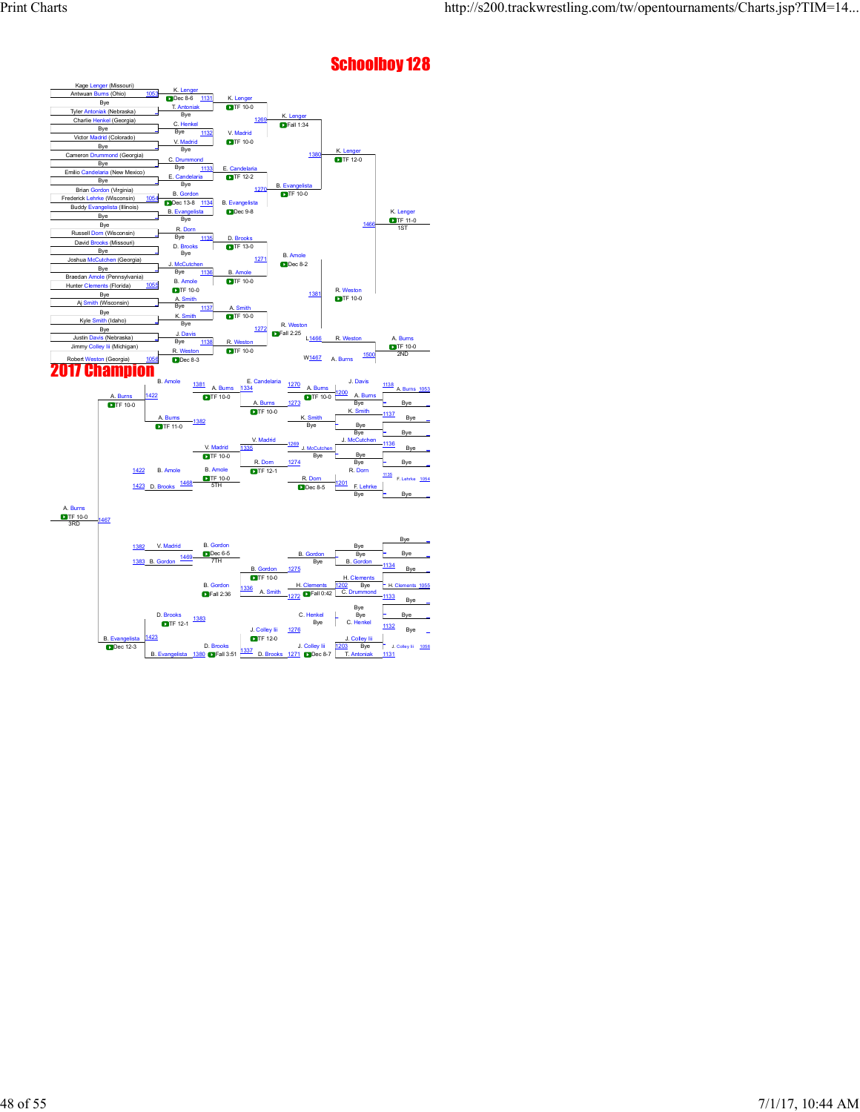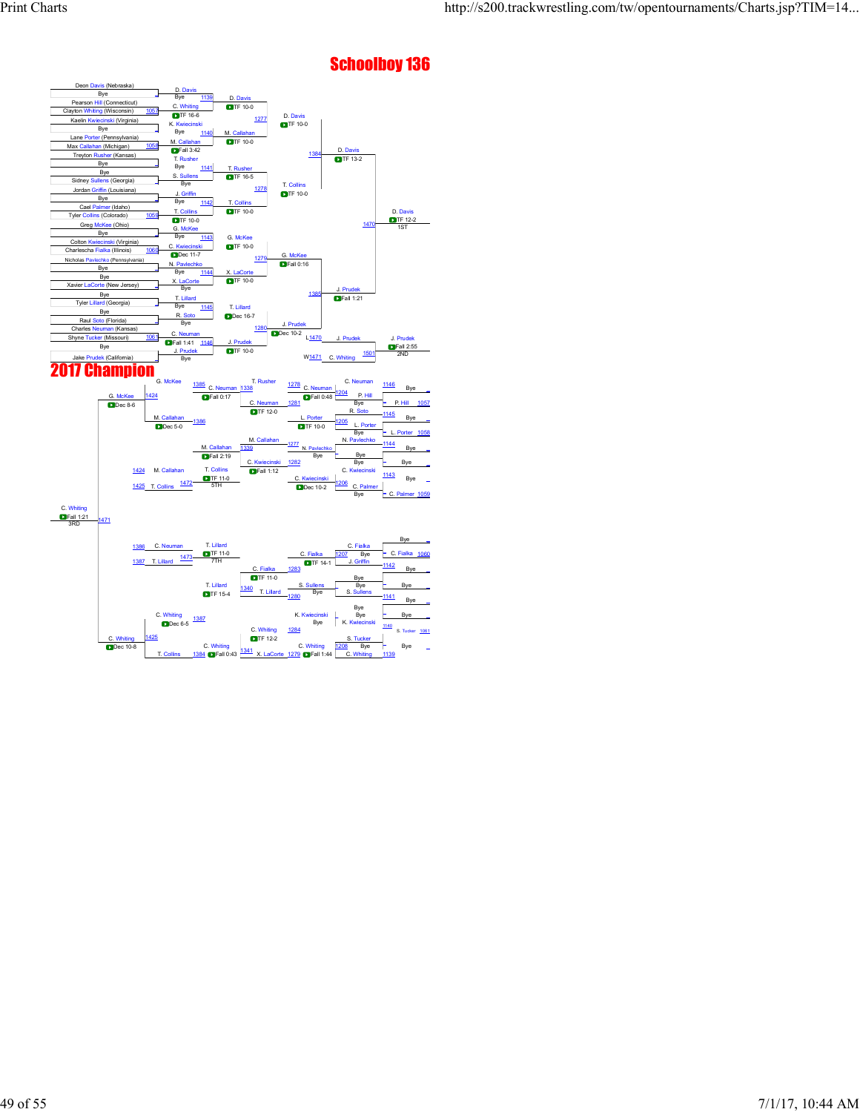Deon <mark>Davis (</mark>Nebrask

### D. Davis **Bye** Bye  $113$ D. Davis<br>**OTF** 10-0 Pearson Hill (Connecticut) C. Whiting C. TF 10-0<br>
yton Whiting (Wisconsin) 1057 C. TF 16-6 D. Davis<br>1 TF 10-0 Clayton Whiting (Wisconsin) 1057 Kaelin Kwiecinski (Virginia) – K. Kwiecinski (Virginia) – K. Kwiecinski (Virginia) – K. Kwiecinski (Virginia) – D. Joannes<br>
Bye – <u>1140 M. Callahan III – Tetre (Pennsylvania)</u> – M. Callahan **DET** F 10-0 Lan Max Callahan (Michigan) 1058<br>Treyton Rusher (Kansas) 1384 D. Davis<br>1384 D. TF 13-2 Fall 3:42 Treyton Rusher (Kansas) T. Rusher TF 13-2 Bye \_ Bye 1141 Bye Bye 1141 T. Rusher<br>Bye S. Sullens T. Rusher<br>Ilens (Georgia) S. Sullens T. Rusher  $rac{Suh}{Bye}$ ns (Georgia вуе <u>— T. Collins</u><br>J. Griffin 1278 → ДТГ 10-0 riffin (Louisiana)  $Bye$ Bye 1142 T. <mark>r</mark> (Idah  $T = 10-0$ Tyler Collins (Colorado) **D**TF 10-0 TF 12-2 1ST Greg McKee (Ohio) G. McK<br>Bye G. McKee (Ohio) G. McKee<br>Ton Kwiecinski (Virginia) Bye 1470 Bye \_\_\_\_\_\_\_\_\_\_\_\_\_\_\_ 1143 Eye 1143 G. McKee<br>Colton Kwiecinski (Virginia) C. Kwiecinski C. TF 10-0 Г Charlescha Fialka (Illinois Dec 11-7 Nicholas Pavlechko (Pennsylvania) 1279 CODEC 11-7 1279 G. McKee<br>
M. Pavlechko Fall 0:16<br>
Bye **D**Fall 0:16 Bye 1144 X. LaCorte<br>X. LaCorte **D**TE 1 Bye Xavier LaCorte (New Jersey) \_ **D**TF 10-0 Bye 1385 J. Prudek<br>**D.** Fall 1:21 Bye T. Lillard<br>Bye Tyler Lillard (Georgia) \_\_\_\_\_\_ <u>1145</u> T. Lillard<br>Bye R. Soto Dec 16-7 R. Sot<br>Bye Raul Soto (Florida) \_ Bye J. Prudek<br>C. Neuman DDec 10-2 Charles Neuman (Kansas) **1280** Shyne Tucker (Missouri) 1061 C. Neuman<br> **D** Fall 1:41 1146 J. P J. Prudek J. Prudek **D** Fall 1:41 1146 Bye **1501 1501 1501 1501 1501 1501 1501 1501 1501 1501** Fall 2:55 2ND  $W<sub>1471</sub>$  C. Jake Prudek (California) \_ **Bye 2017 Champion** T. Rusher 1278 C. 1385 C. Neuman 1146 Bye \_ 2. Neuman 1338 **1242 C. Neuman 1338 1204 P. Hill P. Hill**<br>Fall 0:17 C. Neuman 1994 **D. Fall 0:48** G. McKee<br>Dec 8-6 1424 Dec 8-6 P. Hill <u>1057</u><br>
Dec 8-6 P. TF 12-0 P. Soto 1145 Bye R. Soto 1145 Bye \_ M. Callahan<br>
Dec 5-0 <u>L. Porter 1205</u><br>Dec 5-0 1386 **1205** 1205 L. Porter \_ Bye L. Porter 1058  $M.$  C N. Pavlechko 1144 Bye \_ 1339 1277 M. Callahan 1339 **M. Pavlechko**<br>**Parlament Bye** Bye Bye N. Pavlechko \_ Bye \_ C. Kwiecinski 1282<br>DFall 1:12 Bye Bye \_ M. Callah C. Kw 1424 T. Collins<br>DITF 11-0  $\frac{1143}{\text{Bye}}$ 1425 T. Collins 1472 5TH C. Kwiecinski 1206 C. Palmer \_ Bye C. Palmer 1059 C. Whiting<br>E Fall 1:21 1471<br>3RD Bye \_ 1386 C. Neuman T. Lillard C. Fialka TF 11-0 7TH C. Fialka  $\frac{1207}{1207}$  Bye 1387 T. Lillard 1473 1207 TH C. Fiaka 1207 By C. Fialka 1060 **D**TF 14-1 J. Griffin 1142 C. Fialka 1283 **D**TF 11-0 T. Lillard<br>1975 15-4 S. Sullens Land By By By By By Land By By By Land By Land By Land By Land By Land By Land By Land By Land By Land By Land By Land By Land By Land By Land By Land By Land By Land By Land By Land By Land By Land By Land By L <u>40</u> T. <u>Lil</u> \_ Bye Bye \_ TF 15-4 280 Bye <u>S. Sullens 1141</u> Bye \_ Bye **Bye** C. Whiting<br>Dec 6-5 1387 **K. Kwiecinski** Bye Bye \_ Bye K. Kwiecinski 1140 1284 C. Whiting TF 12-2 S. Tucker S. Tucker 1061 C. Whiting 1425 Dec 10-8 **C.** Whiting C. Whiting 1208 Bye - **Dec 10-8 Bye - Dec 10-8 T.** Colins 1384 **Direct** 0:44 **C.** Whiting 1139 208 Bye C. Whiting<br>T. Collins 1384 D Fall 0:43 2341 X. LaCorte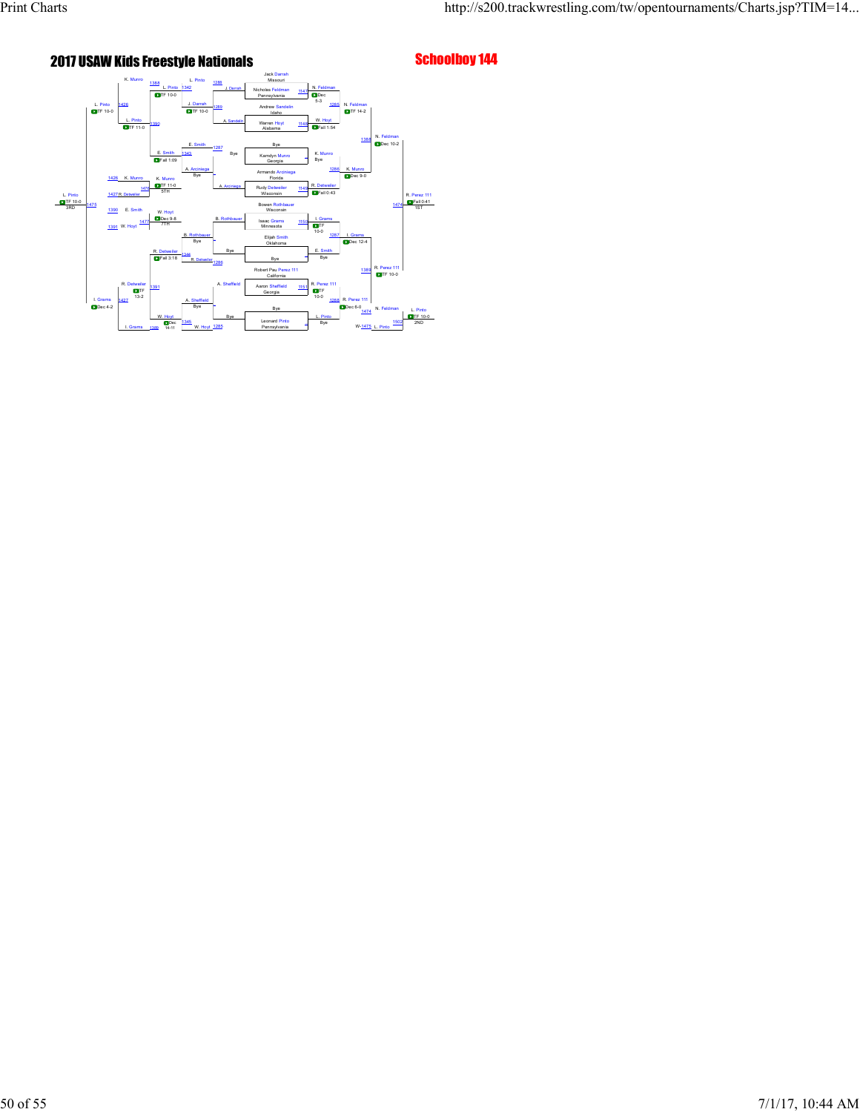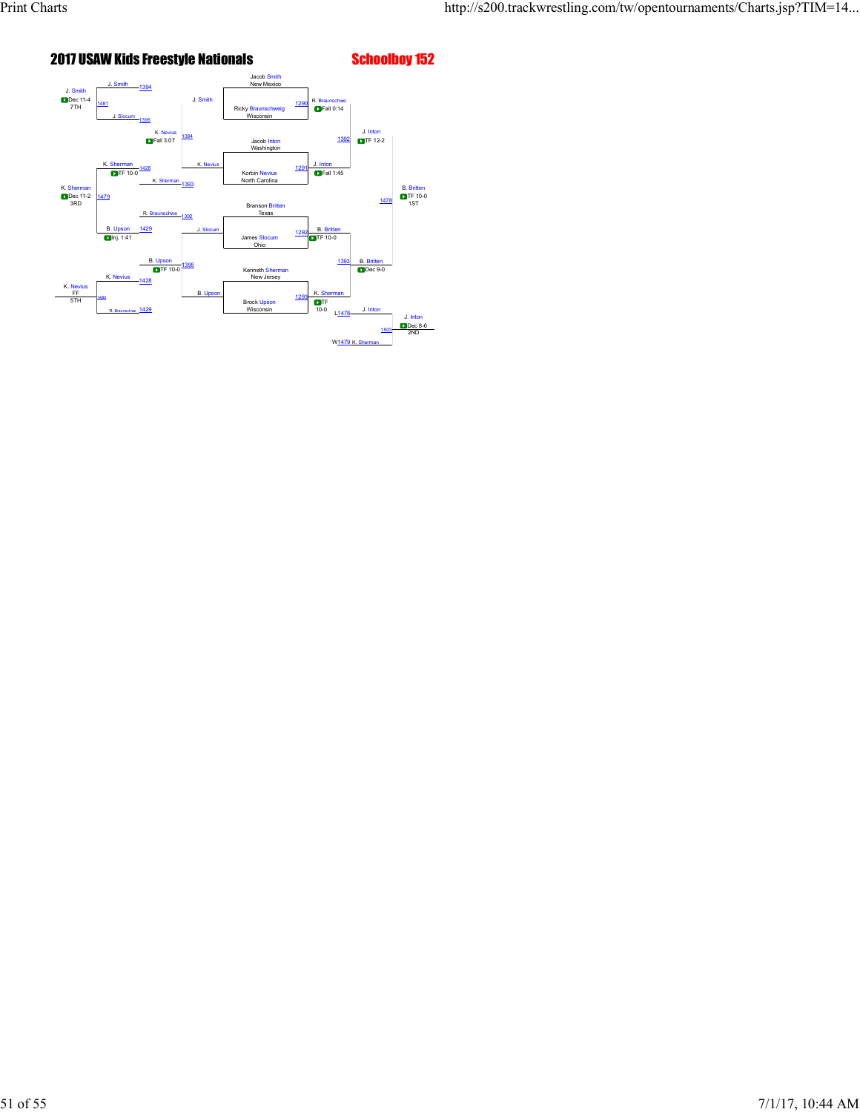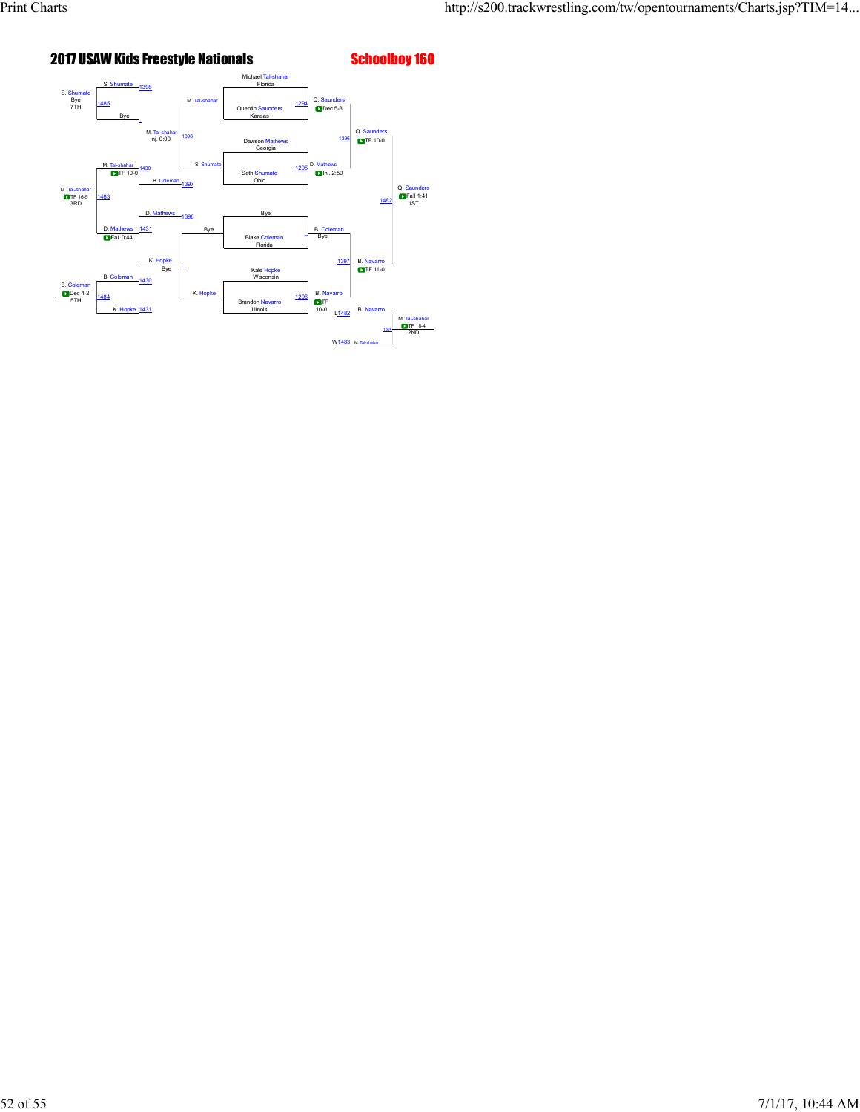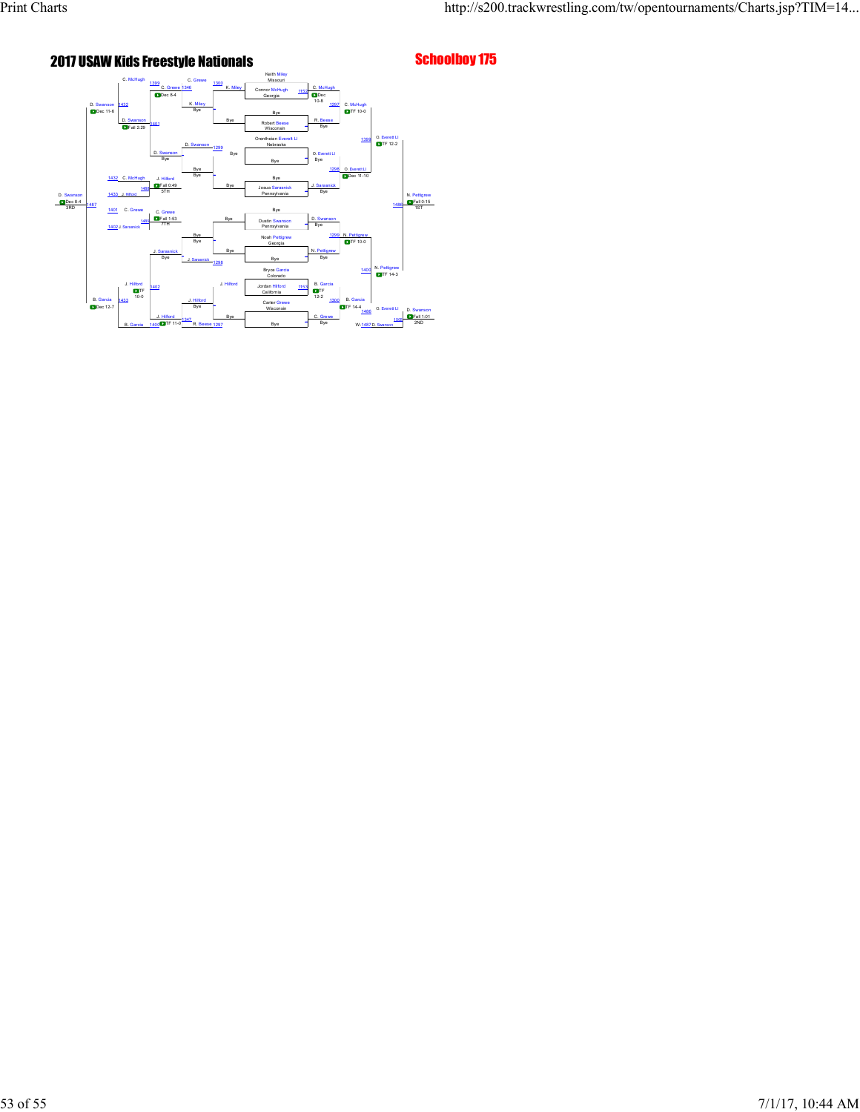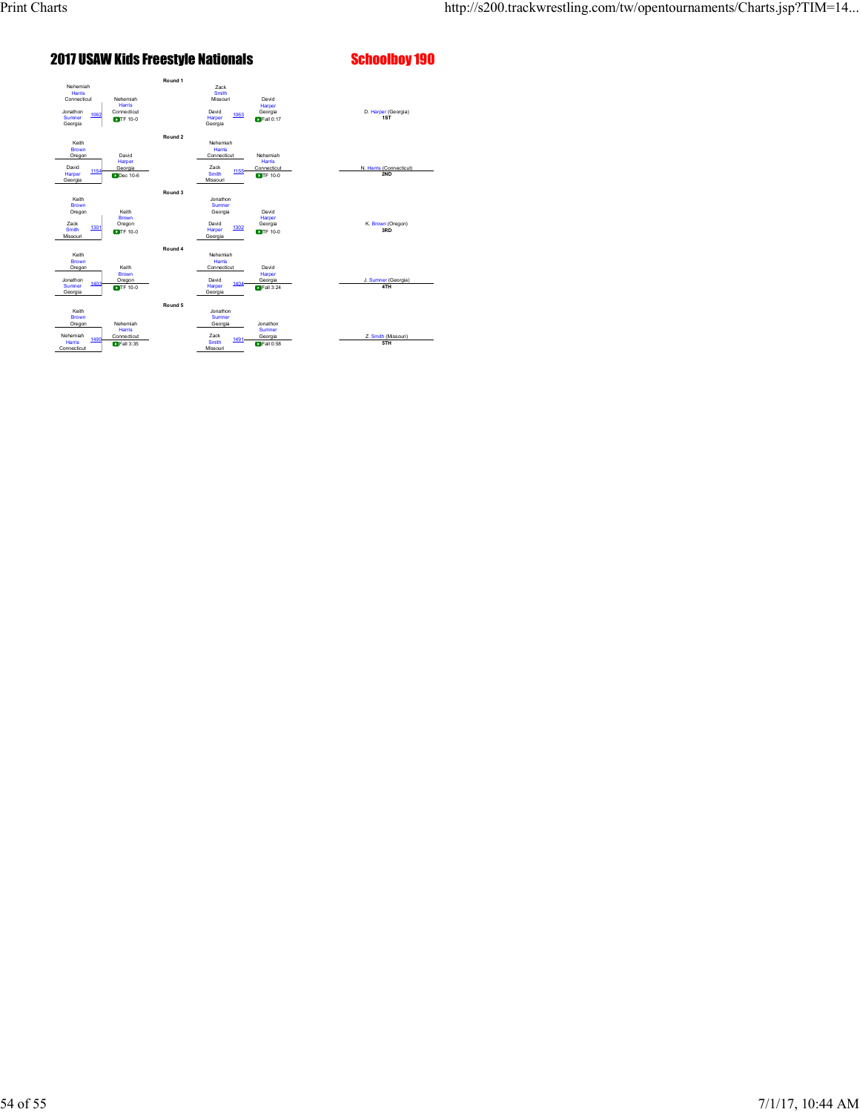| Nehemiah<br>Harris<br>Connecticut<br>Jonathon<br>1062<br><b>Sumner</b><br>Georgia | Nehemiah<br><b>Harris</b><br>Connecticut<br><b>DITF 10-0</b>   | Round <sub>1</sub> | Zack<br>Smith<br>Missouri<br>David<br>1063<br>Harper<br>Georgia           | David<br>Harper<br>Georgia<br>$T$ Fall 0:17            | D. Harper (Georgia)<br>1ST     |
|-----------------------------------------------------------------------------------|----------------------------------------------------------------|--------------------|---------------------------------------------------------------------------|--------------------------------------------------------|--------------------------------|
| Keith<br><b>Brown</b><br>Oregon<br>David<br>1154<br>Harper<br>Georgia             | David<br>Harper<br>Georgia<br><b>D</b> Dec 10-6                | Round <sub>2</sub> | Nehemiah<br>Harris<br>Connecticut<br>Zack<br>1155<br>Smith<br>Missouri    | Nehemiah<br>Harris<br>Connecticut<br><b>DITF 10-0</b>  | N. Harris (Connecticut)<br>2ND |
| Keith<br><b>Brown</b><br>Oregon<br>Zack<br>1301<br>Smith<br>Missouri              | Keith<br><b>Brown</b><br>Oregon<br>$T$ TF 10-0                 | Round 3            | Jonathon<br>Sumner<br>Georgia<br>David<br>1302<br>Harper<br>Georgia       | David<br>Harper<br>Georgia<br><b>DITE 10-0</b>         | K. Brown (Oregon)<br>3RD       |
| Keith<br><b>Brown</b><br>Oregon<br>Jonathon<br>1403<br><b>Sumner</b><br>Georgia   | Keith<br><b>Brown</b><br>Oregon<br>$T$ FF 10-0                 | Round 4            | Nehemiah<br>Harris<br>Connecticut<br>David<br>1404<br>Harper<br>Georgia   | David<br>Harper<br>Georgia<br>$R = 3:24$               | J. Sumner (Georgia)<br>4TH     |
| Keith<br><b>Brown</b><br>Oregon<br>Nehemiah<br>1490<br>Harris<br>Connecticut      | Nehemiah<br><b>Harris</b><br>Connecticut<br><b>D</b> Fall 3:35 | Round 5            | Jonathon<br>Sumner<br>Georgia<br>Zack<br>1491<br><b>Smith</b><br>Missouri | .lonathon<br><b>Sumner</b><br>Georgia<br>$T$ Fall 0:58 | Z. Smith (Missouri)<br>5TH     |